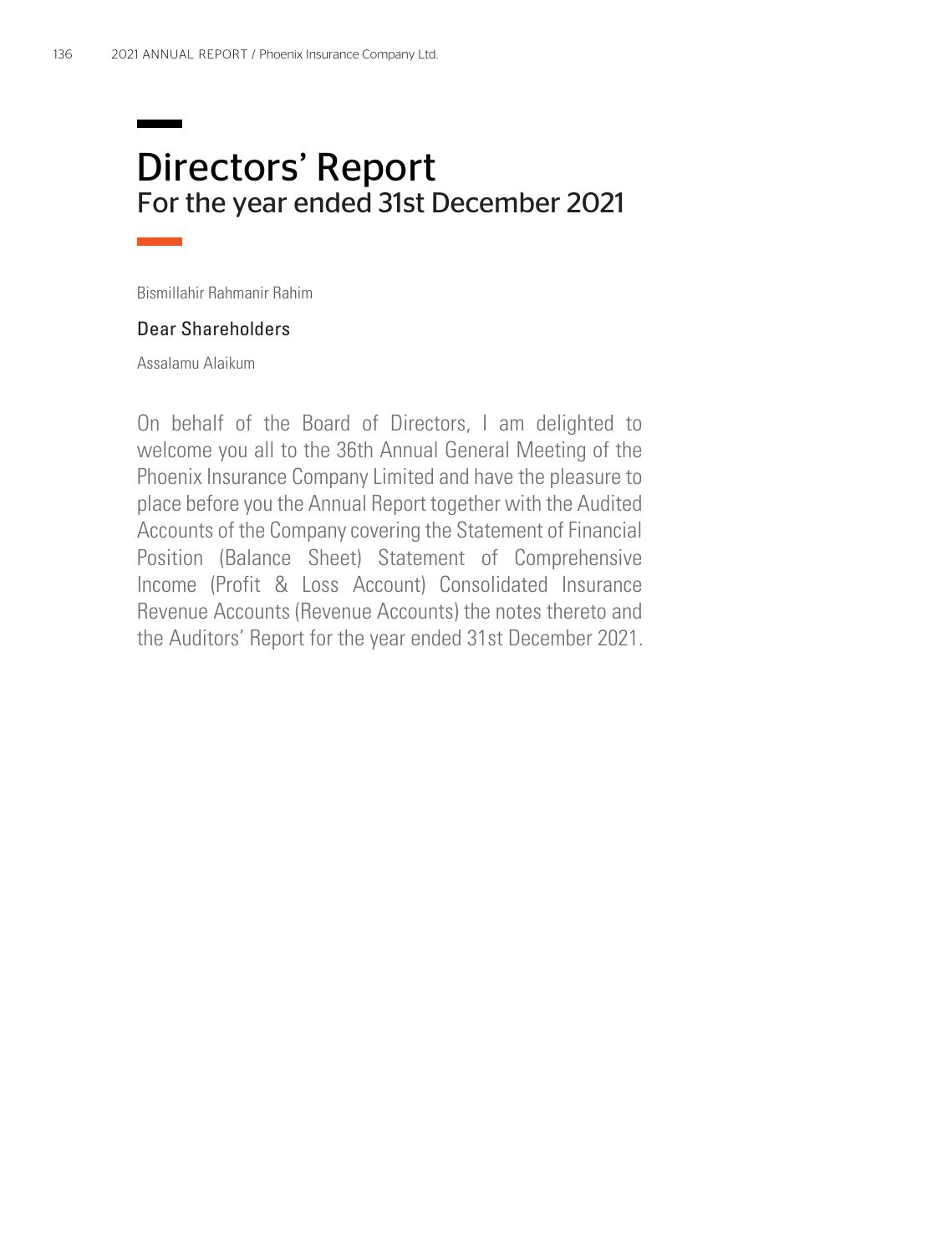# Directors' Report For the year ended 31st December 2021

Bismillahir Rahmanir Rahim

#### Dear Shareholders

Assalamu Alaikum

On behalf of the Board of Directors, I am delighted to welcome you all to the 36th Annual General Meeting of the Phoenix Insurance Company Limited and have the pleasure to place before you the Annual Report together with the Audited Accounts of the Company covering the Statement of Financial Position (Balance Sheet) Statement of Comprehensive Income (Profit & Loss Account) Consolidated Insurance Revenue Accounts (Revenue Accounts) the notes thereto and the Auditors' Report for the year ended 31st December 2021.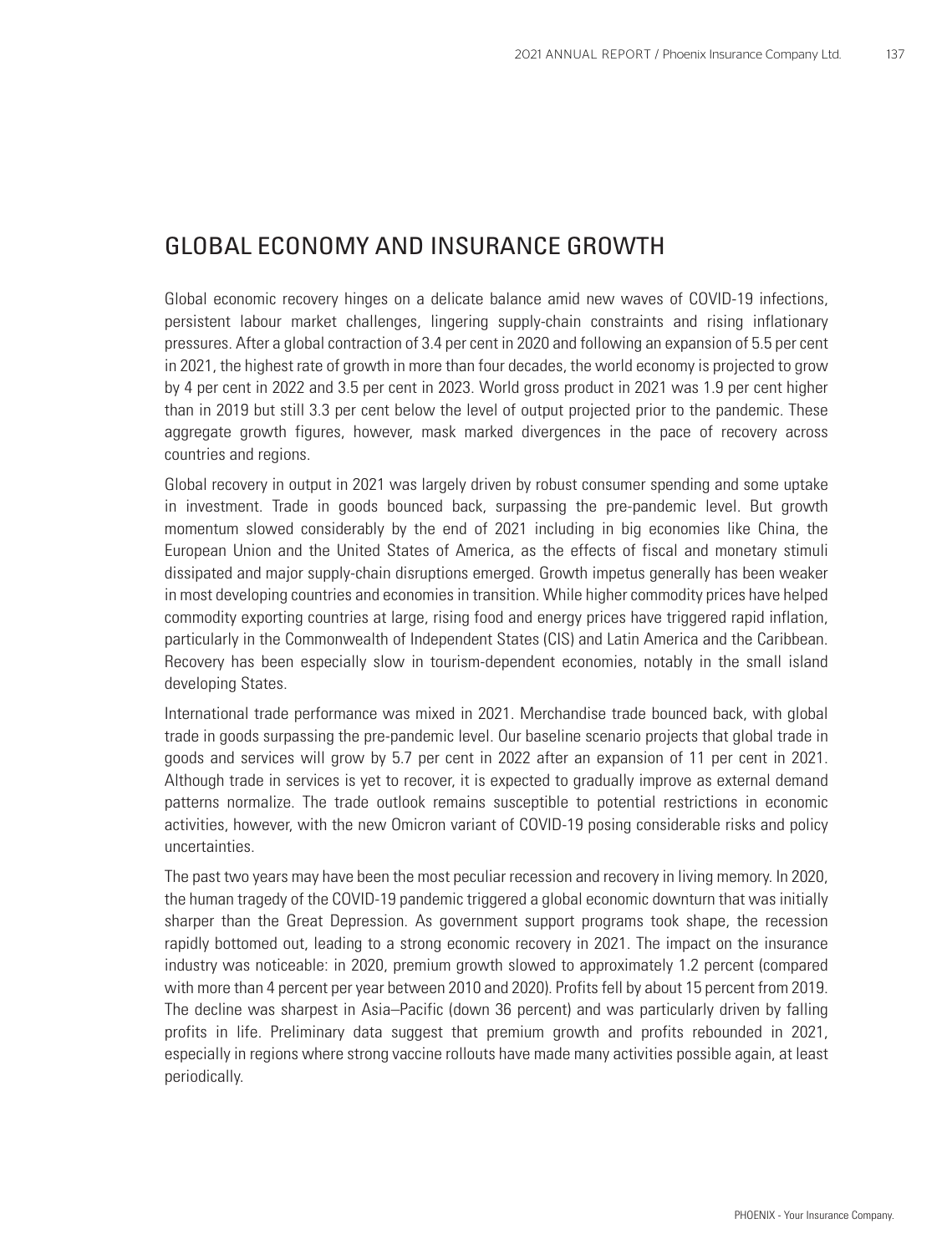### GLOBAL ECONOMY AND INSURANCE GROWTH

Global economic recovery hinges on a delicate balance amid new waves of COVID-19 infections, persistent labour market challenges, lingering supply-chain constraints and rising inflationary pressures. After a global contraction of 3.4 per cent in 2020 and following an expansion of 5.5 per cent in 2021, the highest rate of growth in more than four decades, the world economy is projected to grow by 4 per cent in 2022 and 3.5 per cent in 2023. World gross product in 2021 was 1.9 per cent higher than in 2019 but still 3.3 per cent below the level of output projected prior to the pandemic. These aggregate growth figures, however, mask marked divergences in the pace of recovery across countries and regions.

Global recovery in output in 2021 was largely driven by robust consumer spending and some uptake in investment. Trade in goods bounced back, surpassing the pre-pandemic level. But growth momentum slowed considerably by the end of 2021 including in big economies like China, the European Union and the United States of America, as the effects of fiscal and monetary stimuli dissipated and major supply-chain disruptions emerged. Growth impetus generally has been weaker in most developing countries and economies in transition. While higher commodity prices have helped commodity exporting countries at large, rising food and energy prices have triggered rapid inflation, particularly in the Commonwealth of Independent States (CIS) and Latin America and the Caribbean. Recovery has been especially slow in tourism-dependent economies, notably in the small island developing States.

International trade performance was mixed in 2021. Merchandise trade bounced back, with global trade in goods surpassing the pre-pandemic level. Our baseline scenario projects that global trade in goods and services will grow by 5.7 per cent in 2022 after an expansion of 11 per cent in 2021. Although trade in services is yet to recover, it is expected to gradually improve as external demand patterns normalize. The trade outlook remains susceptible to potential restrictions in economic activities, however, with the new Omicron variant of COVID-19 posing considerable risks and policy uncertainties.

The past two years may have been the most peculiar recession and recovery in living memory. In 2020, the human tragedy of the COVID-19 pandemic triggered a global economic downturn that was initially sharper than the Great Depression. As government support programs took shape, the recession rapidly bottomed out, leading to a strong economic recovery in 2021. The impact on the insurance industry was noticeable: in 2020, premium growth slowed to approximately 1.2 percent (compared with more than 4 percent per year between 2010 and 2020). Profits fell by about 15 percent from 2019. The decline was sharpest in Asia–Pacific (down 36 percent) and was particularly driven by falling profits in life. Preliminary data suggest that premium growth and profits rebounded in 2021, especially in regions where strong vaccine rollouts have made many activities possible again, at least periodically.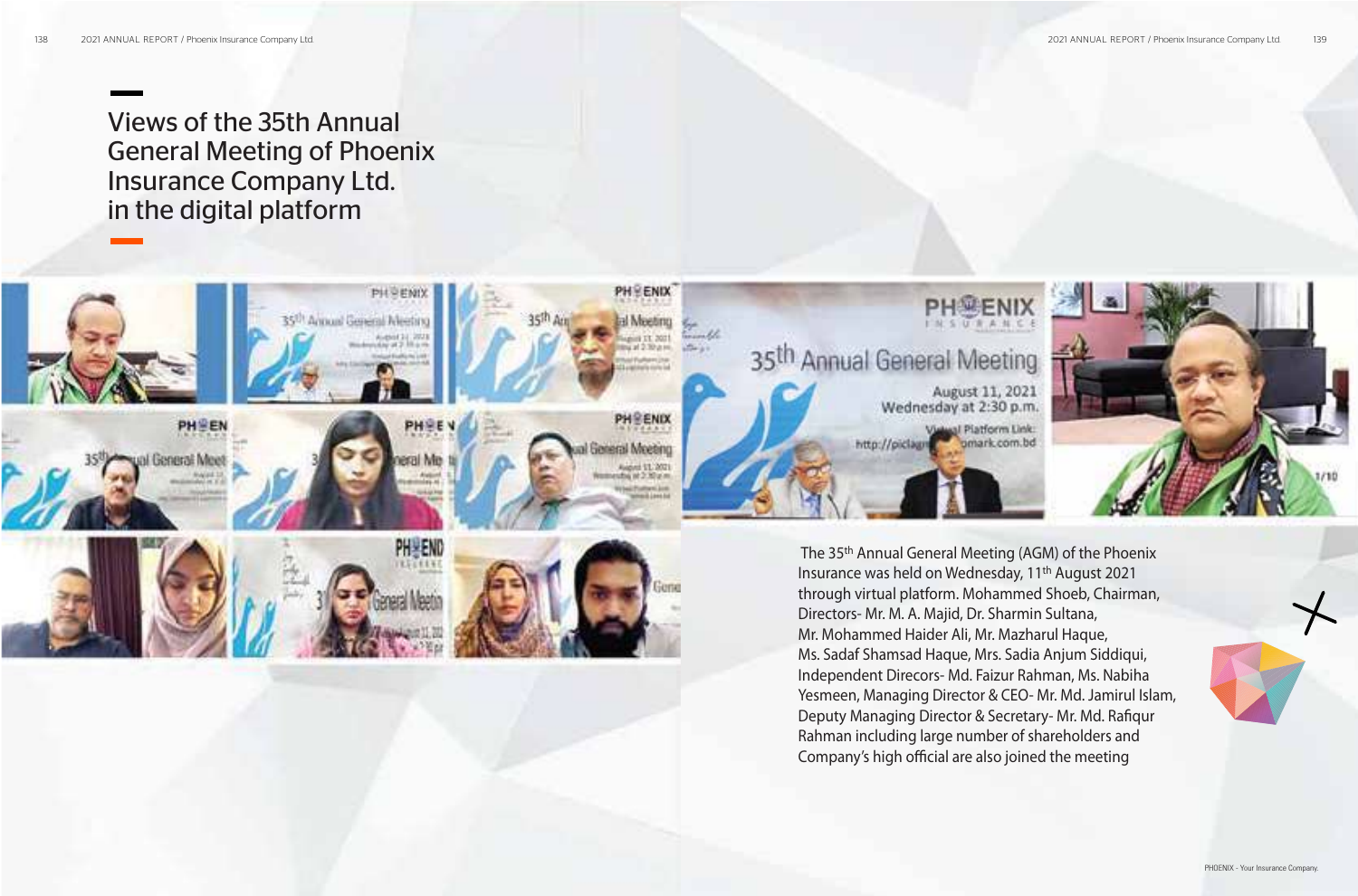Views of the 35th Annual General Meeting of Phoenix Insurance Company Ltd. in the digital platform



Independent Direcors- Md. Faizur Rahman, Ms. Nabiha Yesmeen, Managing Director & CEO- Mr. Md. Jamirul Islam, Deputy Managing Director & Secretary- Mr. Md. Rafiqur Rahman including large number of shareholders and Company's high official are also joined the meeting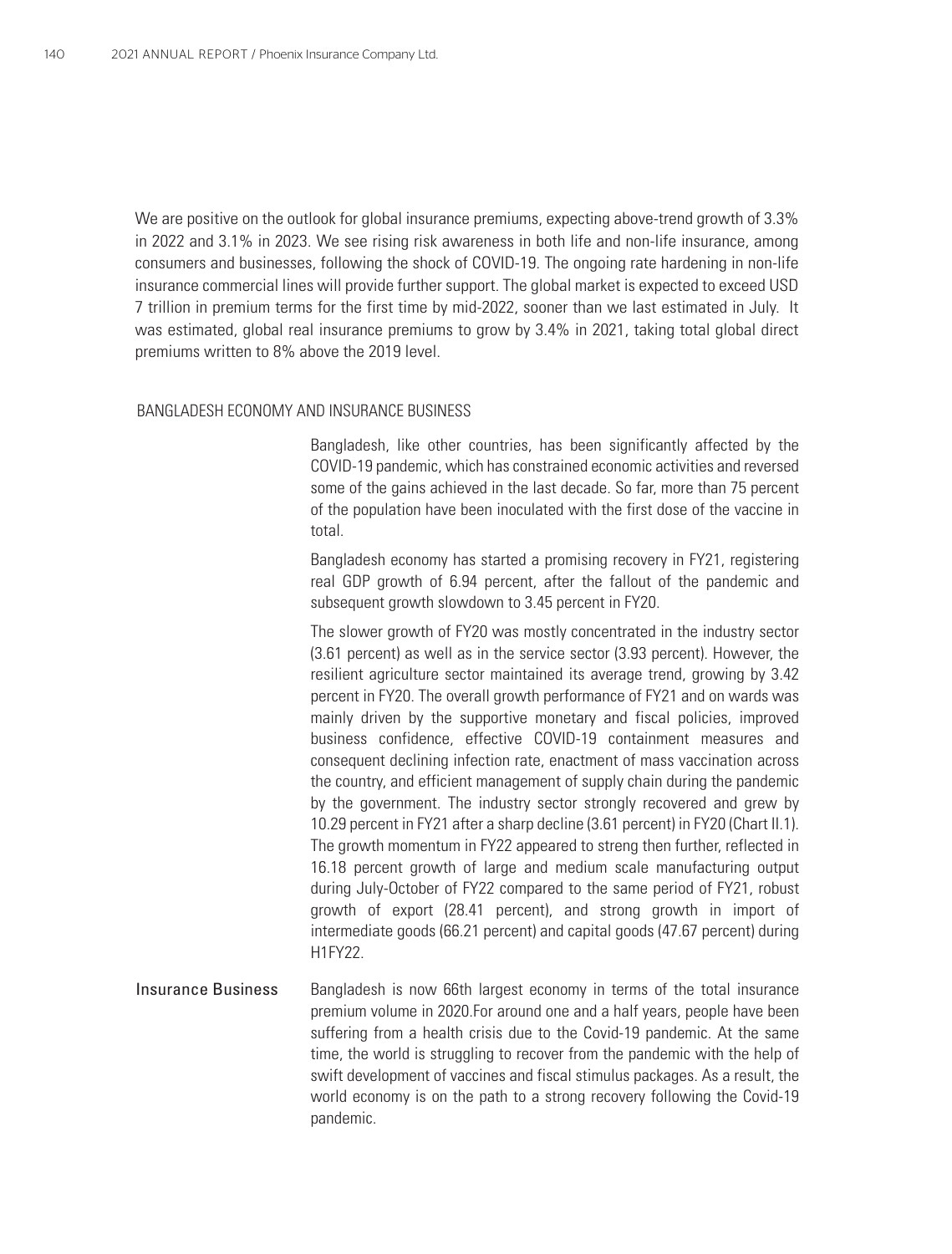We are positive on the outlook for global insurance premiums, expecting above-trend growth of 3.3% in 2022 and 3.1% in 2023. We see rising risk awareness in both life and non-life insurance, among consumers and businesses, following the shock of COVID-19. The ongoing rate hardening in non-life insurance commercial lines will provide further support. The global market is expected to exceed USD 7 trillion in premium terms for the first time by mid-2022, sooner than we last estimated in July. It was estimated, global real insurance premiums to grow by 3.4% in 2021, taking total global direct premiums written to 8% above the 2019 level.

#### BANGLADESH ECONOMY AND INSURANCE BUSINESS

Bangladesh, like other countries, has been significantly affected by the COVID-19 pandemic, which has constrained economic activities and reversed some of the gains achieved in the last decade. So far, more than 75 percent of the population have been inoculated with the first dose of the vaccine in total.

Bangladesh economy has started a promising recovery in FY21, registering real GDP growth of 6.94 percent, after the fallout of the pandemic and subsequent growth slowdown to 3.45 percent in FY20.

The slower growth of FY20 was mostly concentrated in the industry sector (3.61 percent) as well as in the service sector (3.93 percent). However, the resilient agriculture sector maintained its average trend, growing by 3.42 percent in FY20. The overall growth performance of FY21 and on wards was mainly driven by the supportive monetary and fiscal policies, improved business confidence, effective COVID-19 containment measures and consequent declining infection rate, enactment of mass vaccination across the country, and efficient management of supply chain during the pandemic by the government. The industry sector strongly recovered and grew by 10.29 percent in FY21 after a sharp decline (3.61 percent) in FY20 (Chart II.1). The growth momentum in FY22 appeared to streng then further, reflected in 16.18 percent growth of large and medium scale manufacturing output during July-October of FY22 compared to the same period of FY21, robust growth of export (28.41 percent), and strong growth in import of intermediate goods (66.21 percent) and capital goods (47.67 percent) during H1FY22.

Bangladesh is now 66th largest economy in terms of the total insurance premium volume in 2020.For around one and a half years, people have been suffering from a health crisis due to the Covid-19 pandemic. At the same time, the world is struggling to recover from the pandemic with the help of swift development of vaccines and fiscal stimulus packages. As a result, the world economy is on the path to a strong recovery following the Covid-19 pandemic. Insurance Business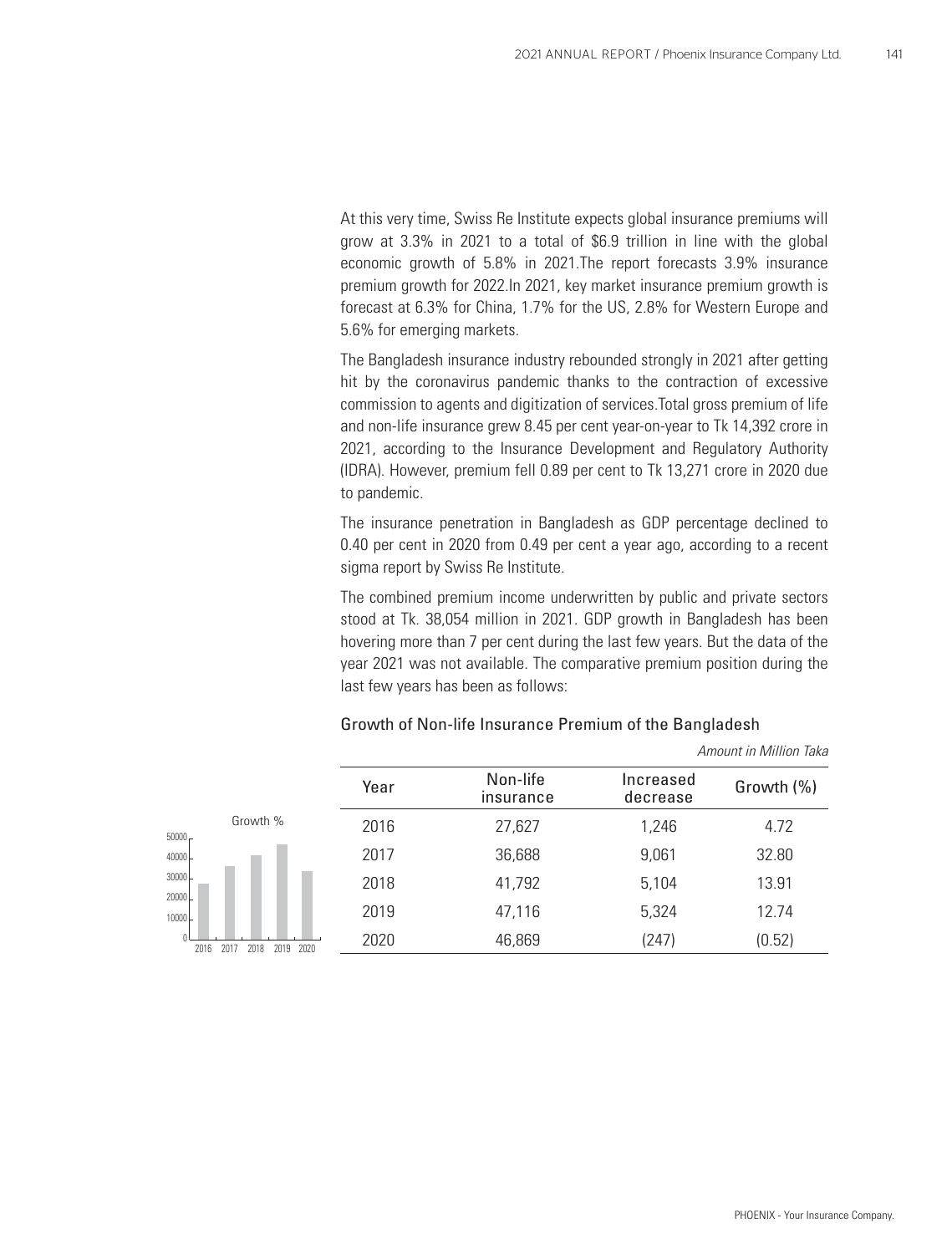At this very time, Swiss Re Institute expects global insurance premiums will grow at 3.3% in 2021 to a total of \$6.9 trillion in line with the global economic growth of 5.8% in 2021.The report forecasts 3.9% insurance premium growth for 2022.In 2021, key market insurance premium growth is forecast at 6.3% for China, 1.7% for the US, 2.8% for Western Europe and 5.6% for emerging markets.

The Bangladesh insurance industry rebounded strongly in 2021 after getting hit by the coronavirus pandemic thanks to the contraction of excessive commission to agents and digitization of services.Total gross premium of life and non-life insurance grew 8.45 per cent year-on-year to Tk 14,392 crore in 2021, according to the Insurance Development and Regulatory Authority (IDRA). However, premium fell 0.89 per cent to Tk 13,271 crore in 2020 due to pandemic.

The insurance penetration in Bangladesh as GDP percentage declined to 0.40 per cent in 2020 from 0.49 per cent a year ago, according to a recent sigma report by Swiss Re Institute.

The combined premium income underwritten by public and private sectors stood at Tk. 38,054 million in 2021. GDP growth in Bangladesh has been hovering more than 7 per cent during the last few years. But the data of the year 2021 was not available. The comparative premium position during the last few years has been as follows:

|                                     | Year | Non-life<br>insurance | Increased<br>decrease | Growth (%) |
|-------------------------------------|------|-----------------------|-----------------------|------------|
| Growth %<br>$50000 -$               | 2016 | 27,627                | 1,246                 | 4.72       |
| 40000                               | 2017 | 36,688                | 9,061                 | 32.80      |
| 30000<br>20000                      | 2018 | 41,792                | 5,104                 | 13.91      |
| 10000                               | 2019 | 47,116                | 5,324                 | 12.74      |
| 2020<br>2019<br>2016<br>201<br>2018 | 2020 | 46,869                | (247)                 | (0.52)     |

#### Growth of Non-life Insurance Premium of the Bangladesh

*Amount in Million Taka*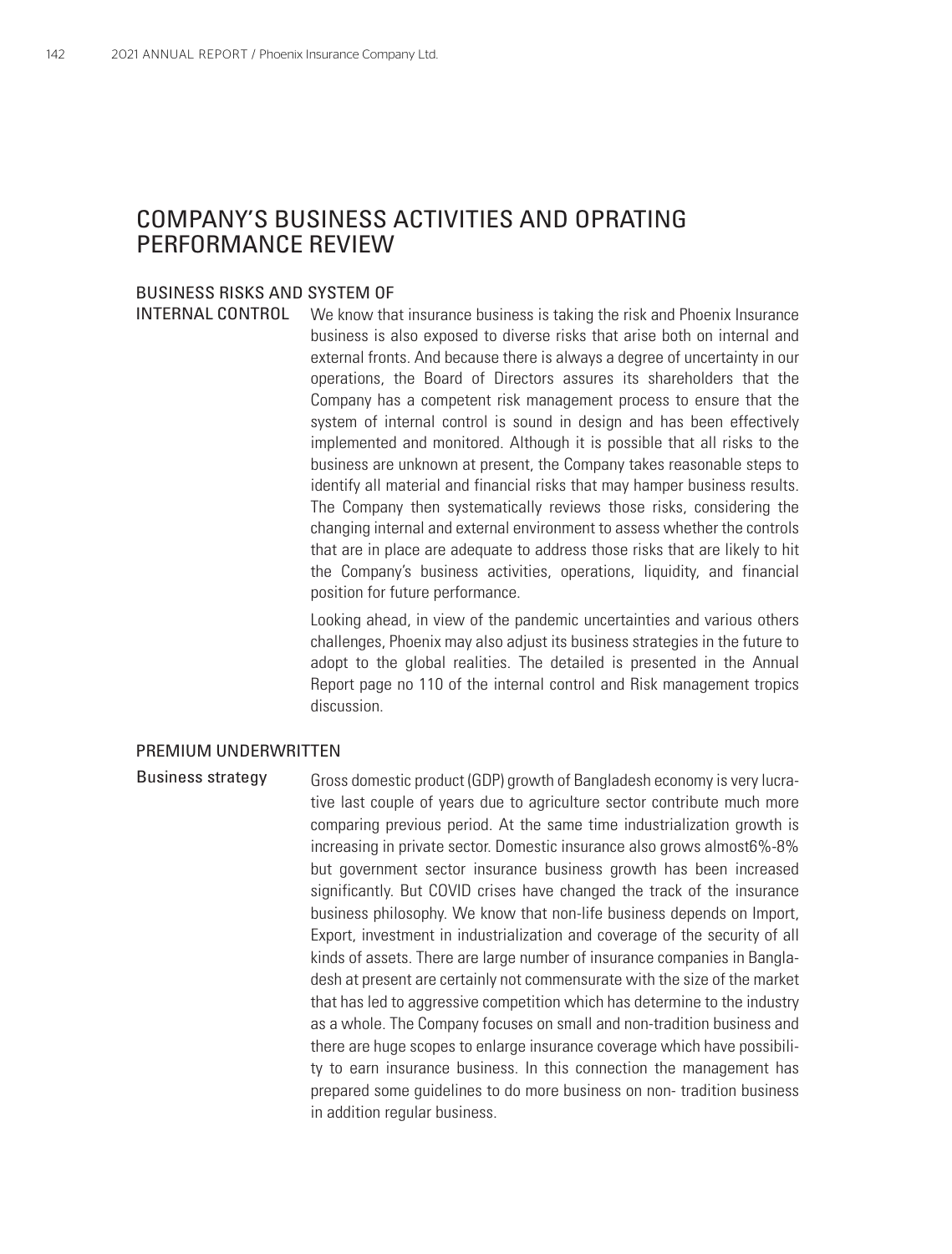### COMPANY'S BUSINESS ACTIVITIES AND OPRATING PERFORMANCE REVIEW

#### BUSINESS RISKS AND SYSTEM OF

INTERNAL CONTROL

We know that insurance business is taking the risk and Phoenix Insurance business is also exposed to diverse risks that arise both on internal and external fronts. And because there is always a degree of uncertainty in our operations, the Board of Directors assures its shareholders that the Company has a competent risk management process to ensure that the system of internal control is sound in design and has been effectively implemented and monitored. Although it is possible that all risks to the business are unknown at present, the Company takes reasonable steps to identify all material and financial risks that may hamper business results. The Company then systematically reviews those risks, considering the changing internal and external environment to assess whether the controls that are in place are adequate to address those risks that are likely to hit the Company's business activities, operations, liquidity, and financial position for future performance.

Looking ahead, in view of the pandemic uncertainties and various others challenges, Phoenix may also adjust its business strategies in the future to adopt to the global realities. The detailed is presented in the Annual Report page no 110 of the internal control and Risk management tropics discussion.

#### PREMIUM UNDERWRITTEN

Gross domestic product (GDP) growth of Bangladesh economy is very lucrative last couple of years due to agriculture sector contribute much more comparing previous period. At the same time industrialization growth is increasing in private sector. Domestic insurance also grows almost6%-8% but government sector insurance business growth has been increased significantly. But COVID crises have changed the track of the insurance business philosophy. We know that non-life business depends on Import, Export, investment in industrialization and coverage of the security of all kinds of assets. There are large number of insurance companies in Bangladesh at present are certainly not commensurate with the size of the market that has led to aggressive competition which has determine to the industry as a whole. The Company focuses on small and non-tradition business and there are huge scopes to enlarge insurance coverage which have possibility to earn insurance business. In this connection the management has prepared some guidelines to do more business on non- tradition business in addition regular business. Business strategy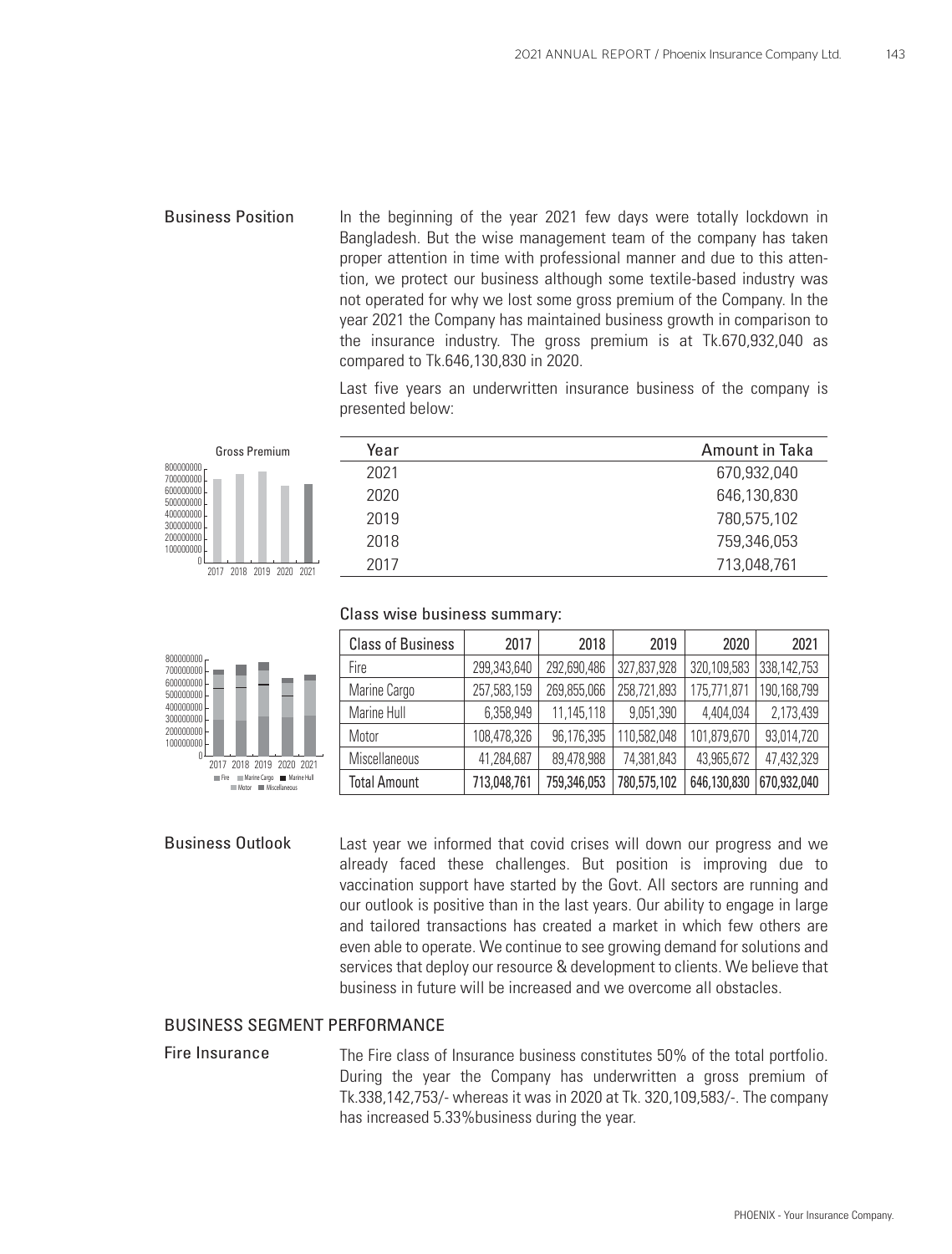In the beginning of the year 2021 few days were totally lockdown in Bangladesh. But the wise management team of the company has taken proper attention in time with professional manner and due to this attention, we protect our business although some textile-based industry was not operated for why we lost some gross premium of the Company. In the year 2021 the Company has maintained business growth in comparison to the insurance industry. The gross premium is at Tk.670,932,040 as compared to Tk.646,130,830 in 2020. Business Position

> Last five years an underwritten insurance business of the company is presented below:

| <b>Gross Premium</b>        | Year | Amount in Taka |
|-----------------------------|------|----------------|
| 800000000<br>700000000      | 2021 | 670,932,040    |
| 600000000<br>500000000      | 2020 | 646,130,830    |
| 400000000<br>300000000      | 2019 | 780,575,102    |
| 200000000<br>100000000      | 2018 | 759,346,053    |
| 2018 2019 2020 2021<br>2017 | 2017 | 713,048,761    |
|                             |      |                |

### Class wise business summary:



| <b>Class of Business</b> | 2017        | 2018        | 2019        | 2020        | 2021        |
|--------------------------|-------------|-------------|-------------|-------------|-------------|
| Fire                     | 299,343,640 | 292,690,486 | 327,837,928 | 320,109,583 | 338,142,753 |
| Marine Cargo             | 257,583,159 | 269,855,066 | 258,721,893 | 175,771,871 | 190,168,799 |
| Marine Hull              | 6,358,949   | 11,145,118  | 9,051,390   | 4,404,034   | 2,173,439   |
| Motor                    | 108,478,326 | 96,176,395  | 110,582,048 | 101,879,670 | 93,014,720  |
| Miscellaneous            | 41,284,687  | 89,478,988  | 74,381,843  | 43,965,672  | 47,432,329  |
| <b>Total Amount</b>      | 713,048,761 | 759,346,053 | 780,575,102 | 646,130,830 | 670,932,040 |

#### Business Outlook

Last year we informed that covid crises will down our progress and we already faced these challenges. But position is improving due to vaccination support have started by the Govt. All sectors are running and our outlook is positive than in the last years. Our ability to engage in large and tailored transactions has created a market in which few others are even able to operate. We continue to see growing demand for solutions and services that deploy our resource & development to clients. We believe that business in future will be increased and we overcome all obstacles.

#### BUSINESS SEGMENT PERFORMANCE

Fire Insurance The Fire class of Insurance business constitutes 50% of the total portfolio. During the year the Company has underwritten a gross premium of Tk.338,142,753/- whereas it was in 2020 at Tk. 320,109,583/-. The company has increased 5.33%business during the year.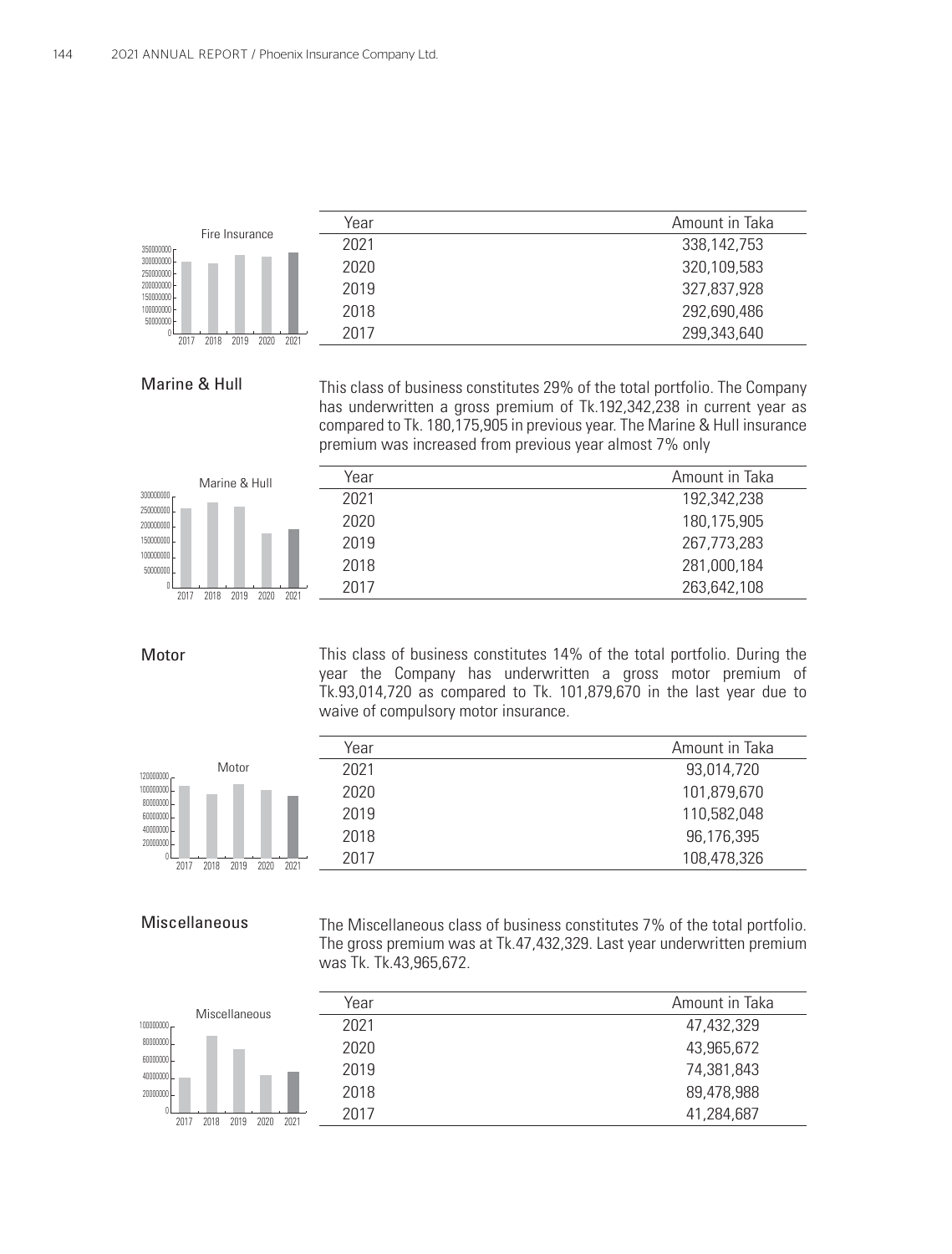

#### Marine & Hull

This class of business constitutes 29% of the total portfolio. The Company has underwritten a gross premium of Tk.192,342,238 in current year as compared to Tk. 180,175,905 in previous year. The Marine & Hull insurance premium was increased from previous year almost 7% only

| Marine & Hull                        | Year | Amount in Taka |
|--------------------------------------|------|----------------|
| $300000000 -$                        | 2021 | 192,342,238    |
| 250000000<br>200000000               | 2020 | 180,175,905    |
| 150000000                            | 2019 | 267,773,283    |
| 100000000<br>50000000                | 2018 | 281,000,184    |
| 2018<br>2020<br>2021<br>2019<br>2017 | 2017 | 263,642,108    |
|                                      |      |                |

#### Motor

This class of business constitutes 14% of the total portfolio. During the year the Company has underwritten a gross motor premium of Tk.93,014,720 as compared to Tk. 101,879,670 in the last year due to waive of compulsory motor insurance.



 $\overline{a}$ 

| Year | Amount in Taka |
|------|----------------|
| 2021 | 93,014,720     |
| 2020 | 101,879,670    |
| 2019 | 110,582,048    |
| 2018 | 96,176,395     |
| 2017 | 108,478,326    |
|      |                |

#### Miscellaneous

The Miscellaneous class of business constitutes 7% of the total portfolio. The gross premium was at Tk.47,432,329. Last year underwritten premium was Tk. Tk.43,965,672.

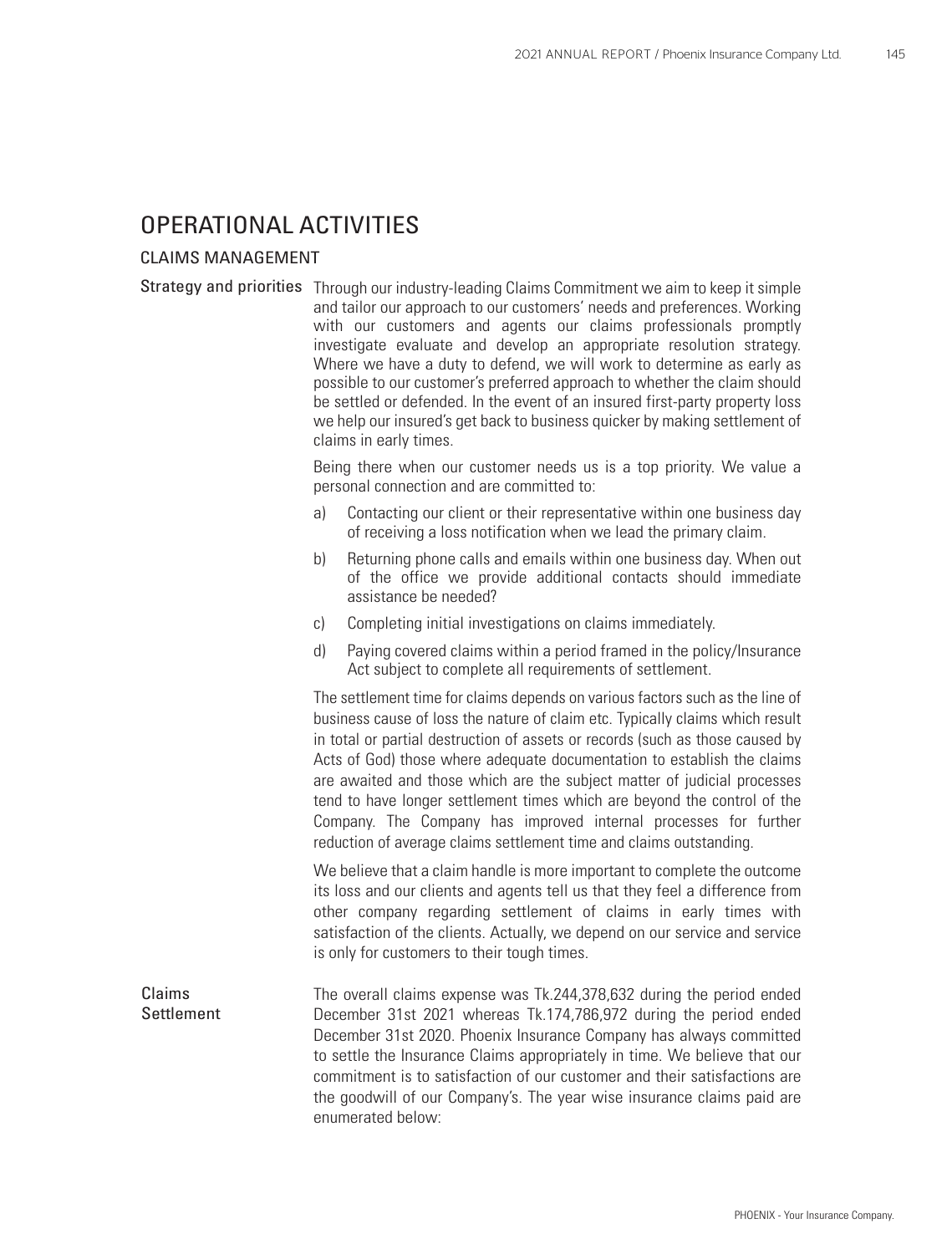### OPERATIONAL ACTIVITIES

#### CLAIMS MANAGEMENT

Strategy and priorities Through our industry-leading Claims Commitment we aim to keep it simple and tailor our approach to our customers' needs and preferences. Working with our customers and agents our claims professionals promptly investigate evaluate and develop an appropriate resolution strategy. Where we have a duty to defend, we will work to determine as early as possible to our customer's preferred approach to whether the claim should be settled or defended. In the event of an insured first-party property loss we help our insured's get back to business quicker by making settlement of claims in early times.

> Being there when our customer needs us is a top priority. We value a personal connection and are committed to:

- a) Contacting our client or their representative within one business day of receiving a loss notification when we lead the primary claim.
- b) Returning phone calls and emails within one business day. When out of the office we provide additional contacts should immediate assistance be needed?
- c) Completing initial investigations on claims immediately.
- d) Paying covered claims within a period framed in the policy/Insurance Act subject to complete all requirements of settlement.

The settlement time for claims depends on various factors such as the line of business cause of loss the nature of claim etc. Typically claims which result in total or partial destruction of assets or records (such as those caused by Acts of God) those where adequate documentation to establish the claims are awaited and those which are the subject matter of judicial processes tend to have longer settlement times which are beyond the control of the Company. The Company has improved internal processes for further reduction of average claims settlement time and claims outstanding.

We believe that a claim handle is more important to complete the outcome its loss and our clients and agents tell us that they feel a difference from other company regarding settlement of claims in early times with satisfaction of the clients. Actually, we depend on our service and service is only for customers to their tough times.

The overall claims expense was Tk.244,378,632 during the period ended December 31st 2021 whereas Tk.174,786,972 during the period ended December 31st 2020. Phoenix Insurance Company has always committed to settle the Insurance Claims appropriately in time. We believe that our commitment is to satisfaction of our customer and their satisfactions are the goodwill of our Company's. The year wise insurance claims paid are enumerated below: Claims Settlement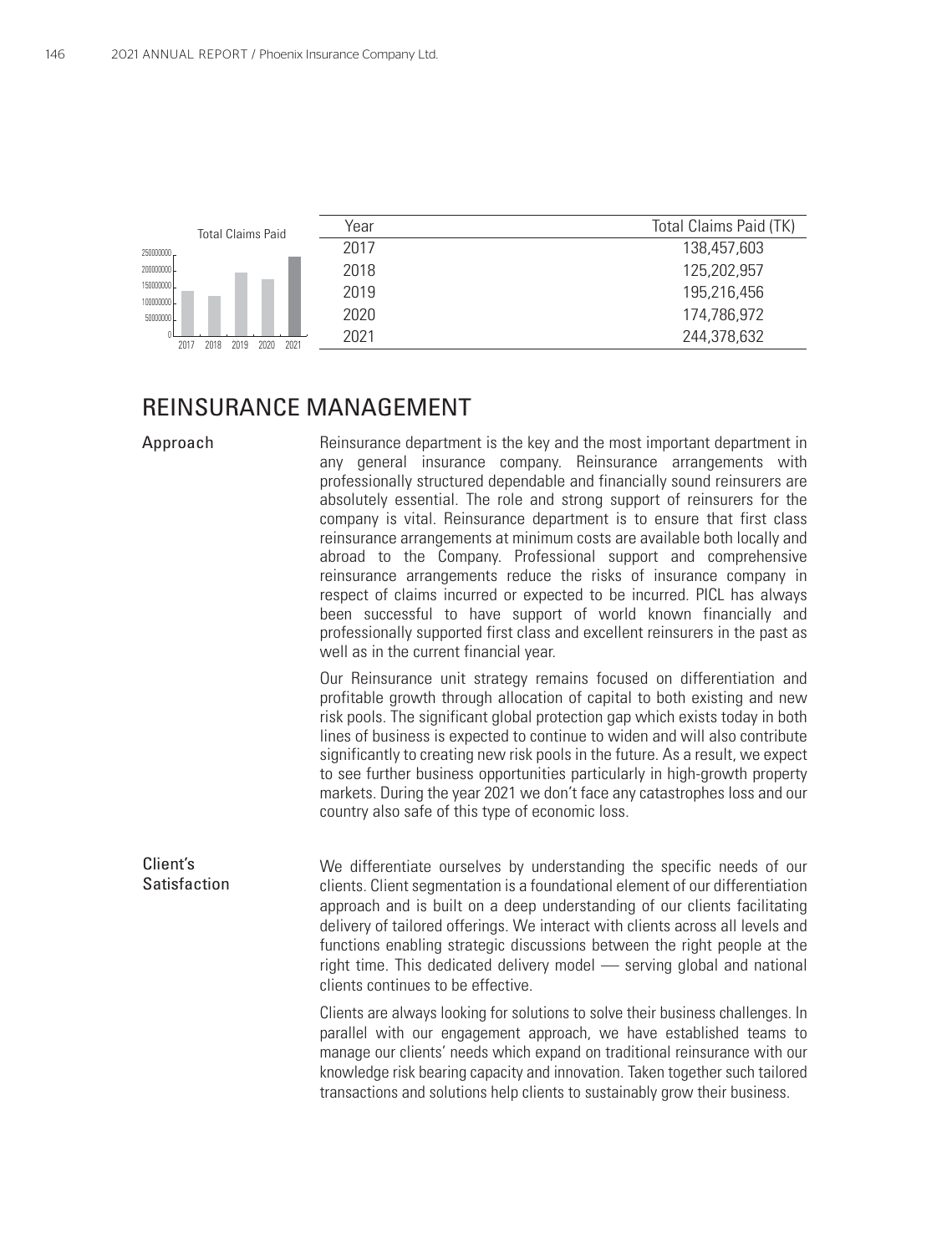| <b>Total Claims Paid</b>             | Year | Total Claims Paid (TK) |
|--------------------------------------|------|------------------------|
| 250000000                            | 2017 | 138,457,603            |
| 200000000                            | 2018 | 125,202,957            |
| 150000000<br>100000000               | 2019 | 195,216,456            |
| 50000000                             | 2020 | 174,786,972            |
| 2021<br>2018<br>2020<br>2019<br>2017 | 2021 | 244,378,632            |
|                                      |      |                        |

# REINSURANCE MANAGEMENT

| Approach                 | Reinsurance department is the key and the most important department in<br>any general insurance company. Reinsurance arrangements with<br>professionally structured dependable and financially sound reinsurers are<br>absolutely essential. The role and strong support of reinsurers for the<br>company is vital. Reinsurance department is to ensure that first class<br>reinsurance arrangements at minimum costs are available both locally and<br>abroad to the Company. Professional support and comprehensive<br>reinsurance arrangements reduce the risks of insurance company in<br>respect of claims incurred or expected to be incurred. PICL has always<br>been successful to have support of world known financially and<br>professionally supported first class and excellent reinsurers in the past as<br>well as in the current financial year. |
|--------------------------|------------------------------------------------------------------------------------------------------------------------------------------------------------------------------------------------------------------------------------------------------------------------------------------------------------------------------------------------------------------------------------------------------------------------------------------------------------------------------------------------------------------------------------------------------------------------------------------------------------------------------------------------------------------------------------------------------------------------------------------------------------------------------------------------------------------------------------------------------------------|
|                          | Our Reinsurance unit strategy remains focused on differentiation and<br>profitable growth through allocation of capital to both existing and new<br>risk pools. The significant global protection gap which exists today in both<br>lines of business is expected to continue to widen and will also contribute<br>significantly to creating new risk pools in the future. As a result, we expect<br>to see further business opportunities particularly in high-growth property<br>markets. During the year 2021 we don't face any catastrophes loss and our<br>country also safe of this type of economic loss.                                                                                                                                                                                                                                                 |
| Client's<br>Satisfaction | We differentiate ourselves by understanding the specific needs of our<br>clients. Client segmentation is a foundational element of our differentiation<br>approach and is built on a deep understanding of our clients facilitating<br>delivery of tailored offerings. We interact with clients across all levels and<br>functions enabling strategic discussions between the right people at the<br>right time. This dedicated delivery model - serving global and national<br>clients continues to be effective.                                                                                                                                                                                                                                                                                                                                               |
|                          | Clients are always looking for solutions to solve their business challenges. In<br>parallel with our engagement approach, we have established teams to<br>manage our clients' needs which expand on traditional reinsurance with our<br>knowledge risk bearing capacity and innovation. Taken together such tailored<br>transactions and solutions help clients to sustainably grow their business.                                                                                                                                                                                                                                                                                                                                                                                                                                                              |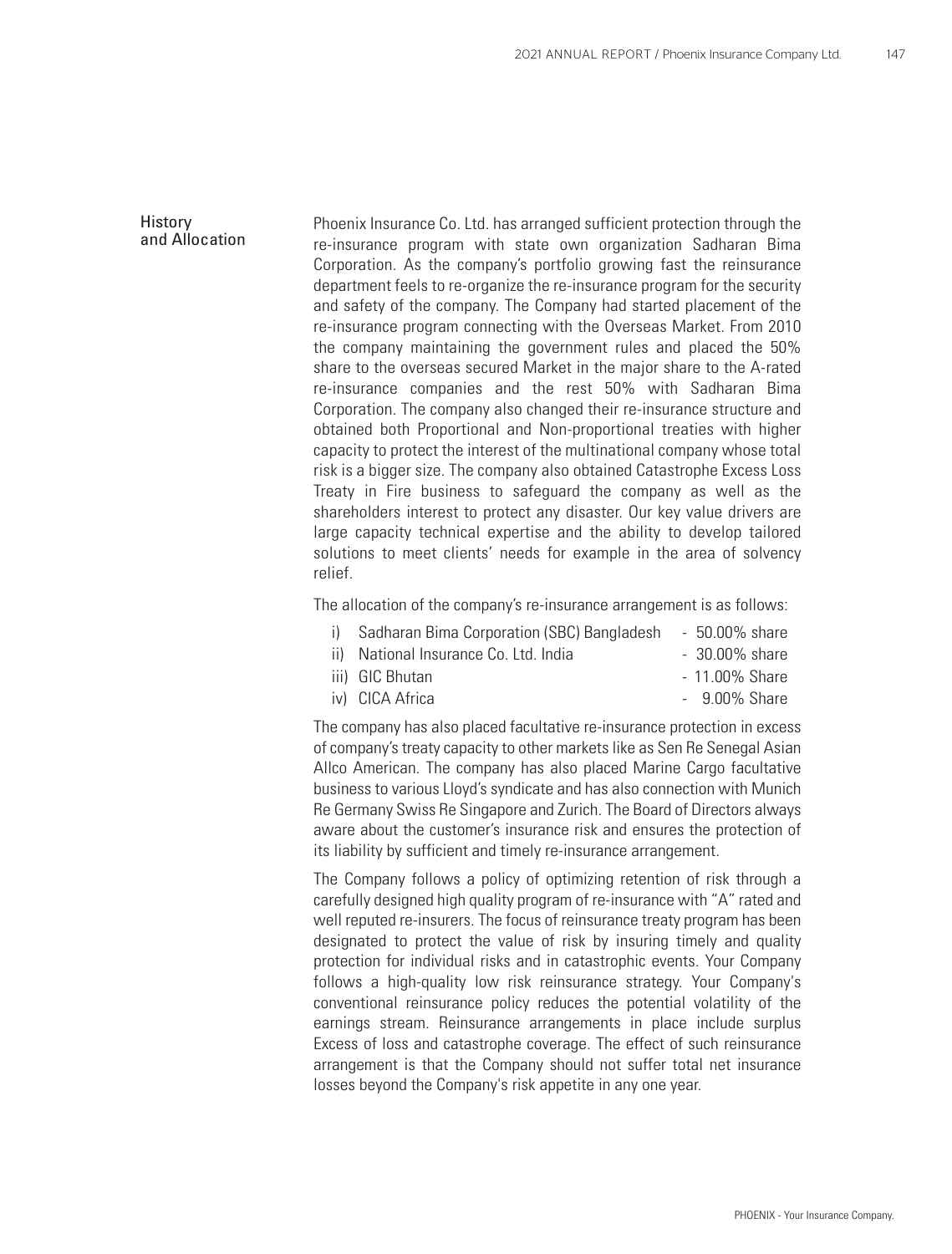#### **History** and Allocation

Phoenix Insurance Co. Ltd. has arranged sufficient protection through the re-insurance program with state own organization Sadharan Bima Corporation. As the company's portfolio growing fast the reinsurance department feels to re-organize the re-insurance program for the security and safety of the company. The Company had started placement of the re-insurance program connecting with the Overseas Market. From 2010 the company maintaining the government rules and placed the 50% share to the overseas secured Market in the major share to the A-rated re-insurance companies and the rest 50% with Sadharan Bima Corporation. The company also changed their re-insurance structure and obtained both Proportional and Non-proportional treaties with higher capacity to protect the interest of the multinational company whose total risk is a bigger size. The company also obtained Catastrophe Excess Loss Treaty in Fire business to safeguard the company as well as the shareholders interest to protect any disaster. Our key value drivers are large capacity technical expertise and the ability to develop tailored solutions to meet clients' needs for example in the area of solvency relief.

The allocation of the company's re-insurance arrangement is as follows:

- i) Sadharan Bima Corporation (SBC) Bangladesh 50.00% share
- ii) National Insurance Co. Ltd. India 30.00% share
- iii) GIC Bhutan 11.00% Share iv) CICA Africa - 9.00% Share
	-

The company has also placed facultative re-insurance protection in excess of company's treaty capacity to other markets like as Sen Re Senegal Asian Allco American. The company has also placed Marine Cargo facultative business to various Lloyd's syndicate and has also connection with Munich Re Germany Swiss Re Singapore and Zurich. The Board of Directors always aware about the customer's insurance risk and ensures the protection of its liability by sufficient and timely re-insurance arrangement.

The Company follows a policy of optimizing retention of risk through a carefully designed high quality program of re-insurance with "A" rated and well reputed re-insurers. The focus of reinsurance treaty program has been designated to protect the value of risk by insuring timely and quality protection for individual risks and in catastrophic events. Your Company follows a high-quality low risk reinsurance strategy. Your Company's conventional reinsurance policy reduces the potential volatility of the earnings stream. Reinsurance arrangements in place include surplus Excess of loss and catastrophe coverage. The effect of such reinsurance arrangement is that the Company should not suffer total net insurance losses beyond the Company's risk appetite in any one year.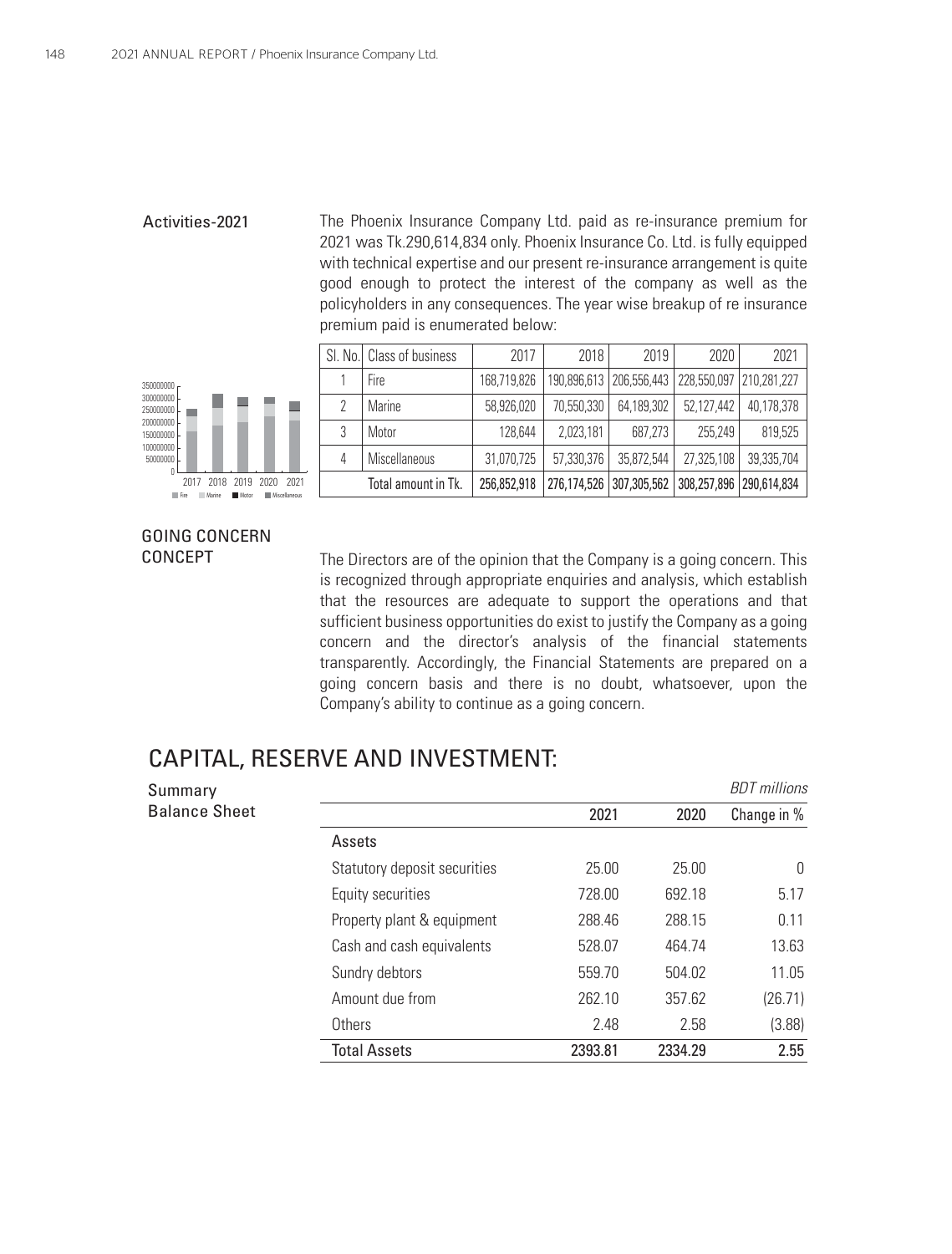#### Activities-2021

The Phoenix Insurance Company Ltd. paid as re-insurance premium for 2021 was Tk.290,614,834 only. Phoenix Insurance Co. Ltd. is fully equipped with technical expertise and our present re-insurance arrangement is quite good enough to protect the interest of the company as well as the policyholders in any consequences. The year wise breakup of re insurance premium paid is enumerated below:





#### GOING CONCERN CONCEPT

The Directors are of the opinion that the Company is a going concern. This is recognized through appropriate enquiries and analysis, which establish that the resources are adequate to support the operations and that sufficient business opportunities do exist to justify the Company as a going concern and the director's analysis of the financial statements transparently. Accordingly, the Financial Statements are prepared on a going concern basis and there is no doubt, whatsoever, upon the Company's ability to continue as a going concern.

### CAPITAL, RESERVE AND INVESTMENT:

| Summary              |                              |         |         | <b>BDT</b> millions |
|----------------------|------------------------------|---------|---------|---------------------|
| <b>Balance Sheet</b> |                              | 2021    | 2020    | Change in %         |
|                      | Assets                       |         |         |                     |
|                      | Statutory deposit securities | 25.00   | 25.00   | 0                   |
|                      | Equity securities            | 728.00  | 692.18  | 5.17                |
|                      | Property plant & equipment   | 288.46  | 288.15  | 0.11                |
|                      | Cash and cash equivalents    | 528.07  | 464.74  | 13.63               |
|                      | Sundry debtors               | 559.70  | 504.02  | 11.05               |
|                      | Amount due from              | 262.10  | 357.62  | (26.71)             |
|                      | Others                       | 2.48    | 2.58    | (3.88)              |
|                      | <b>Total Assets</b>          | 2393.81 | 2334.29 | 2.55                |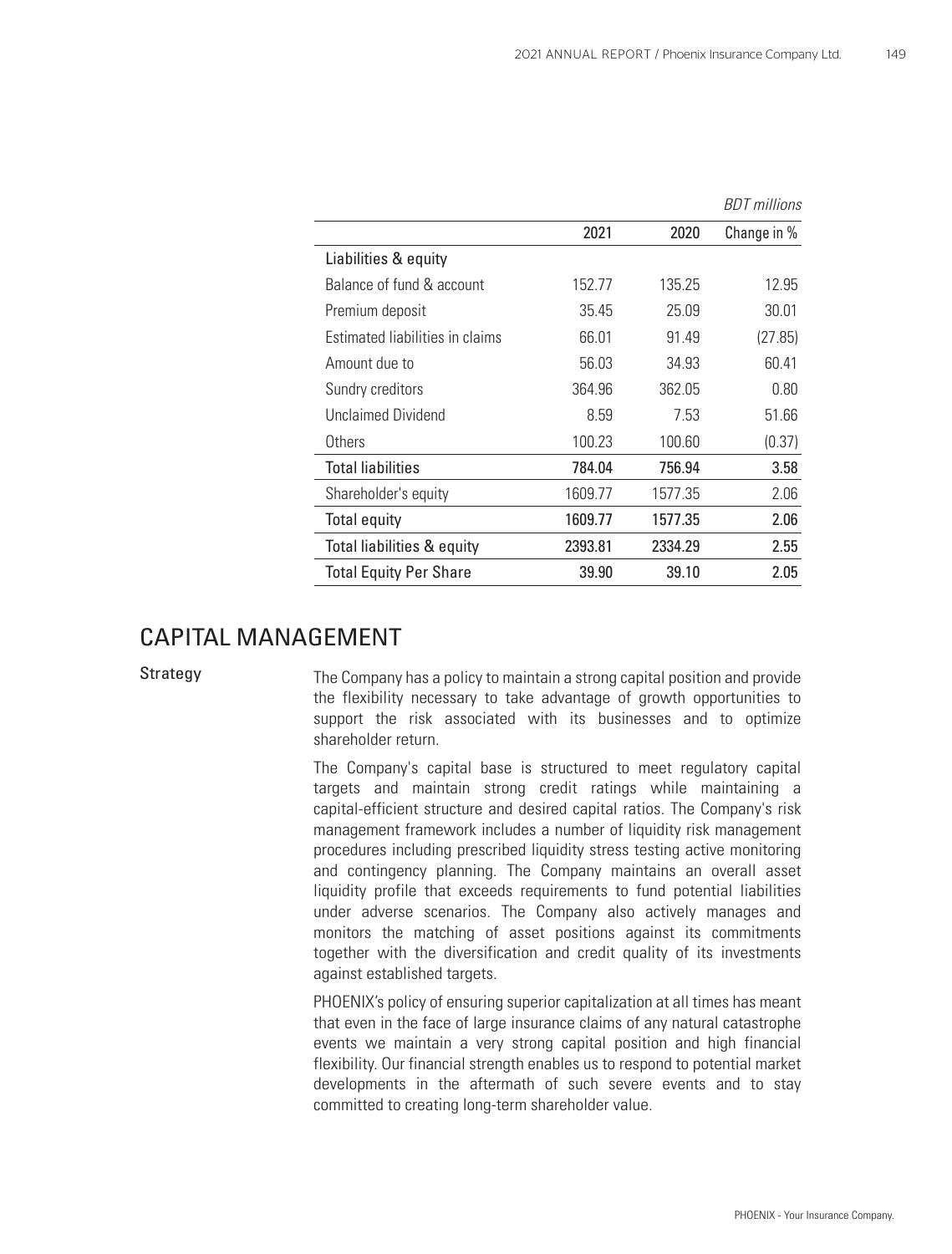|                                 |         |         | <b>BDT</b> millions |
|---------------------------------|---------|---------|---------------------|
|                                 | 2021    | 2020    | Change in %         |
| Liabilities & equity            |         |         |                     |
| Balance of fund & account       | 152.77  | 135.25  | 12.95               |
| Premium deposit                 | 35.45   | 25.09   | 30.01               |
| Estimated liabilities in claims | 66.01   | 91.49   | (27.85)             |
| Amount due to                   | 56.03   | 34.93   | 60.41               |
| Sundry creditors                | 364.96  | 362.05  | 0.80                |
| Unclaimed Dividend              | 8.59    | 7.53    | 51.66               |
| Others                          | 100.23  | 100.60  | (0.37)              |
| <b>Total liabilities</b>        | 784.04  | 756.94  | 3.58                |
| Shareholder's equity            | 1609.77 | 1577.35 | 2.06                |
| <b>Total equity</b>             | 1609.77 | 1577.35 | 2.06                |
| Total liabilities & equity      | 2393.81 | 2334.29 | 2.55                |
| <b>Total Equity Per Share</b>   | 39.90   | 39.10   | 2.05                |

### CAPITAL MANAGEMENT

Strategy

The Company has a policy to maintain a strong capital position and provide the flexibility necessary to take advantage of growth opportunities to support the risk associated with its businesses and to optimize shareholder return.

The Company's capital base is structured to meet regulatory capital targets and maintain strong credit ratings while maintaining a capital-efficient structure and desired capital ratios. The Company's risk management framework includes a number of liquidity risk management procedures including prescribed liquidity stress testing active monitoring and contingency planning. The Company maintains an overall asset liquidity profile that exceeds requirements to fund potential liabilities under adverse scenarios. The Company also actively manages and monitors the matching of asset positions against its commitments together with the diversification and credit quality of its investments against established targets.

PHOENIX's policy of ensuring superior capitalization at all times has meant that even in the face of large insurance claims of any natural catastrophe events we maintain a very strong capital position and high financial flexibility. Our financial strength enables us to respond to potential market developments in the aftermath of such severe events and to stay committed to creating long-term shareholder value.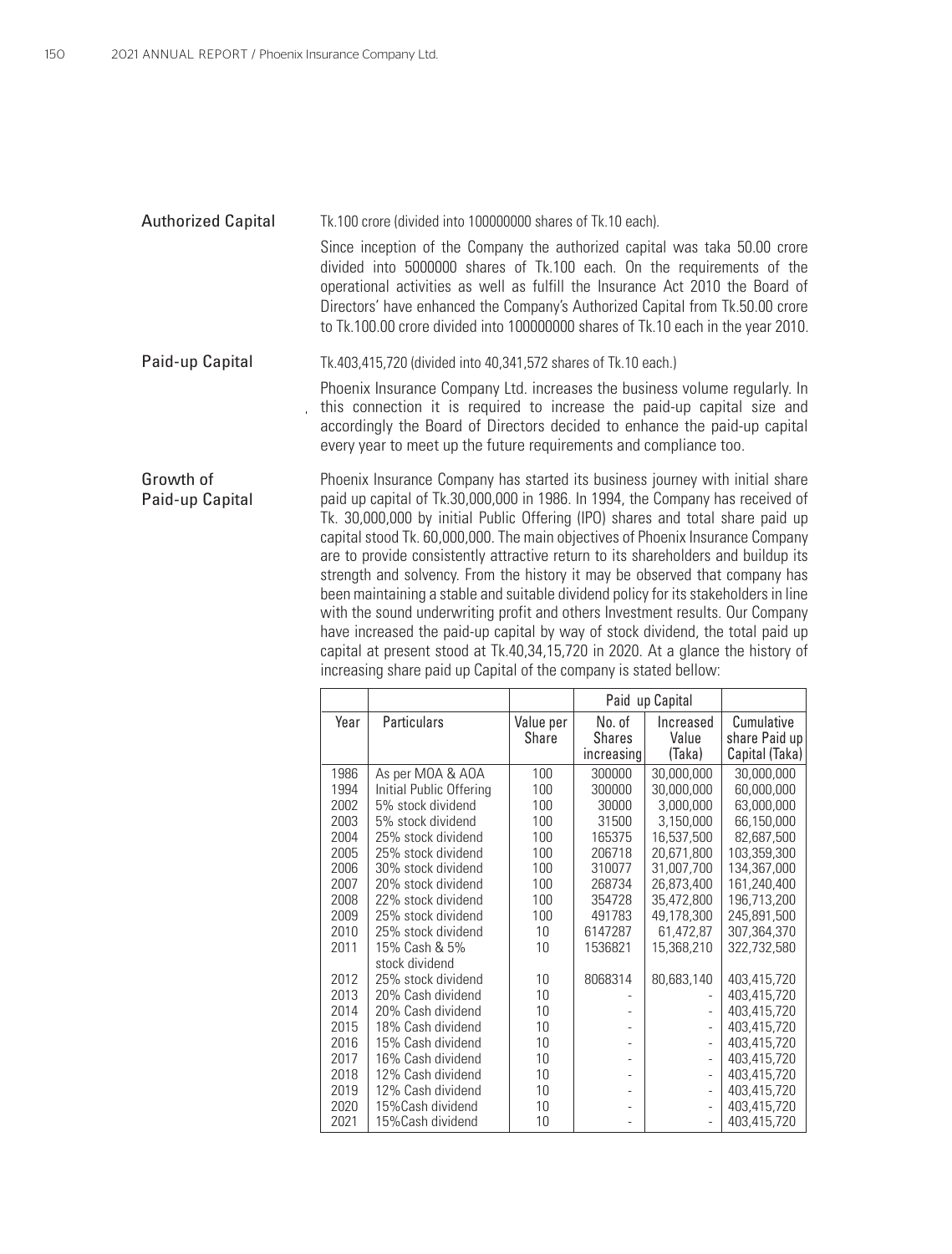Authorized Capital Tk.100 crore (divided into 100000000 shares of Tk.10 each). Since inception of the Company the authorized capital was taka 50.00 crore divided into 5000000 shares of Tk.100 each. On the requirements of the operational activities as well as fulfill the Insurance Act 2010 the Board of Directors' have enhanced the Company's Authorized Capital from Tk.50.00 crore to Tk.100.00 crore divided into 100000000 shares of Tk.10 each in the year 2010.

Paid-up Capital Tk.403,415,720 (divided into 40,341,572 shares of Tk.10 each.)

Phoenix Insurance Company Ltd. increases the business volume regularly. In this connection it is required to increase the paid-up capital size and accordingly the Board of Directors decided to enhance the paid-up capital every year to meet up the future requirements and compliance too.

Growth of Paid-up Capital Phoenix Insurance Company has started its business journey with initial share paid up capital of Tk.30,000,000 in 1986. In 1994, the Company has received of Tk. 30,000,000 by initial Public Offering (IPO) shares and total share paid up capital stood Tk. 60,000,000. The main objectives of Phoenix Insurance Company are to provide consistently attractive return to its shareholders and buildup its strength and solvency. From the history it may be observed that company has been maintaining a stable and suitable dividend policy for its stakeholders in line with the sound underwriting profit and others Investment results. Our Company have increased the paid-up capital by way of stock dividend, the total paid up capital at present stood at Tk.40,34,15,720 in 2020. At a glance the history of increasing share paid up Capital of the company is stated bellow:

|      |                                 |                    |                                       | Paid up Capital              |                                               |
|------|---------------------------------|--------------------|---------------------------------------|------------------------------|-----------------------------------------------|
| Year | Particulars                     | Value per<br>Share | No. of<br><b>Shares</b><br>increasing | Increased<br>Value<br>(Taka) | Cumulative<br>share Paid up<br>Capital (Taka) |
| 1986 | As per MOA & AOA                | 100                | 300000                                | 30,000,000                   | 30,000,000                                    |
| 1994 | Initial Public Offering         | 100                | 300000                                | 30,000,000                   | 60,000,000                                    |
| 2002 | 5% stock dividend               | 100                | 30000                                 | 3,000,000                    | 63,000,000                                    |
| 2003 | 5% stock dividend               | 100                | 31500                                 | 3,150,000                    | 66,150,000                                    |
| 2004 | 25% stock dividend              | 100                | 165375                                | 16,537,500                   | 82,687,500                                    |
| 2005 | 25% stock dividend              | 100                | 206718                                | 20,671,800                   | 103,359,300                                   |
| 2006 | 30% stock dividend              | 100                | 310077                                | 31,007,700                   | 134,367,000                                   |
| 2007 | 20% stock dividend              | 100                | 268734                                | 26,873,400                   | 161,240,400                                   |
| 2008 | 22% stock dividend              | 100                | 354728                                | 35,472,800                   | 196,713,200                                   |
| 2009 | 25% stock dividend              | 100                | 491783                                | 49,178,300                   | 245,891,500                                   |
| 2010 | 25% stock dividend              | 10                 | 6147287                               | 61,472,87                    | 307,364,370                                   |
| 2011 | 15% Cash & 5%<br>stock dividend | 10                 | 1536821                               | 15,368,210                   | 322,732,580                                   |
| 2012 | 25% stock dividend              | 10                 | 8068314                               | 80,683,140                   | 403,415,720                                   |
| 2013 | 20% Cash dividend               | 10                 |                                       |                              | 403,415,720                                   |
| 2014 | 20% Cash dividend               | 10                 |                                       | $\overline{\phantom{a}}$     | 403,415,720                                   |
| 2015 | 18% Cash dividend               | 10                 |                                       | $\overline{\phantom{a}}$     | 403,415,720                                   |
| 2016 | 15% Cash dividend               | 10                 |                                       | $\overline{\phantom{a}}$     | 403,415,720                                   |
| 2017 | 16% Cash dividend               | 10                 |                                       | $\overline{\phantom{a}}$     | 403,415,720                                   |
| 2018 | 12% Cash dividend               | 10                 |                                       | $\overline{\phantom{a}}$     | 403,415,720                                   |
| 2019 | 12% Cash dividend               | 10                 |                                       | $\bar{a}$                    | 403,415,720                                   |
| 2020 | 15% Cash dividend               | 10                 |                                       | $\overline{\phantom{a}}$     | 403,415,720                                   |
| 2021 | 15%Cash dividend                | 10                 |                                       |                              | 403,415,720                                   |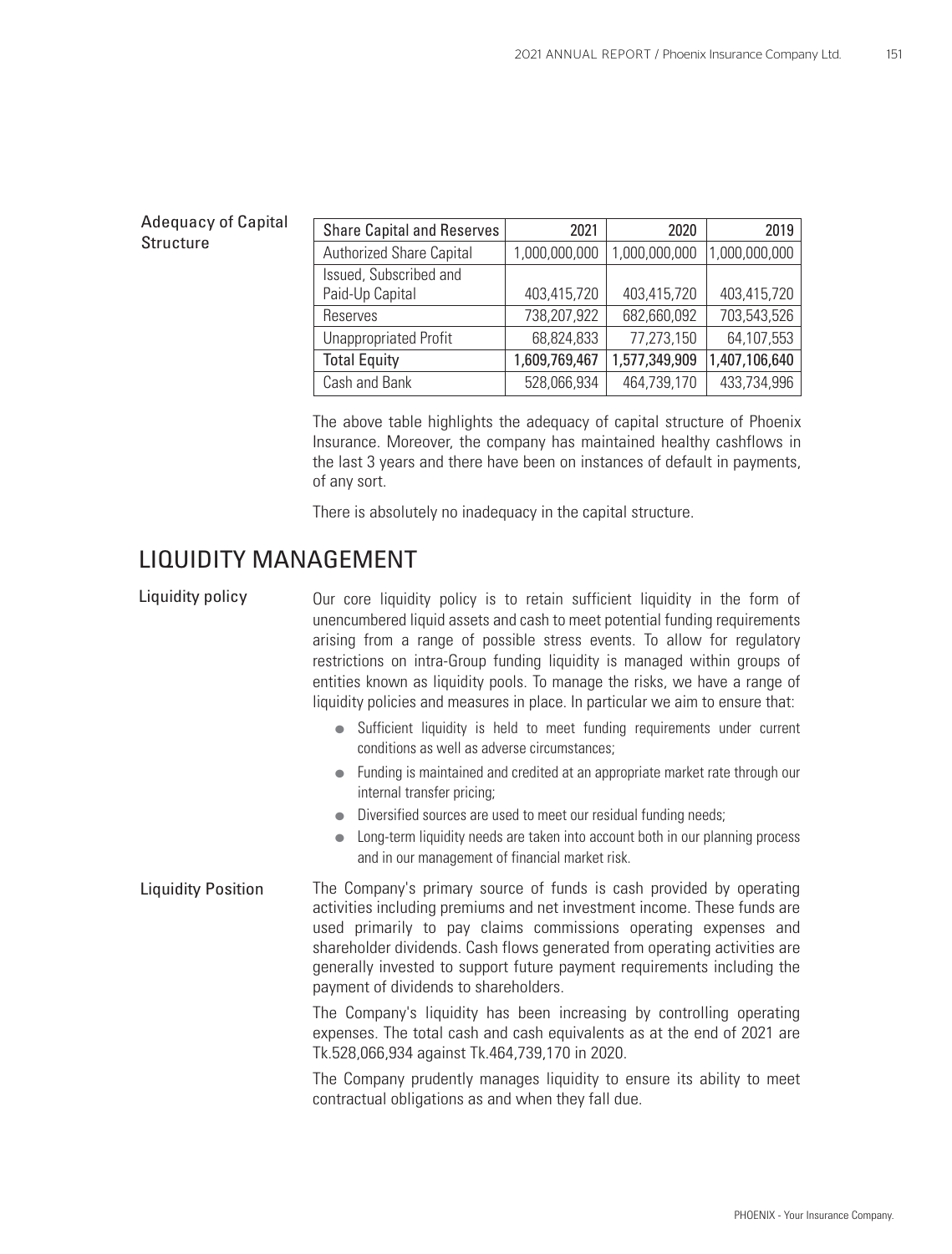#### Adequacy of Capital **Structure**

| <b>Share Capital and Reserves</b> | 2021          | 2020          | 2019          |
|-----------------------------------|---------------|---------------|---------------|
| Authorized Share Capital          | 1,000,000,000 | 1,000,000,000 | 1,000,000,000 |
| Issued, Subscribed and            |               |               |               |
| Paid-Up Capital                   | 403,415,720   | 403,415,720   | 403,415,720   |
| Reserves                          | 738,207,922   | 682,660,092   | 703,543,526   |
| <b>Unappropriated Profit</b>      | 68,824,833    | 77,273,150    | 64,107,553    |
| <b>Total Equity</b>               | 1,609,769,467 | 1,577,349,909 | 1,407,106,640 |
| Cash and Bank                     | 528,066,934   | 464,739,170   | 433,734,996   |

The above table highlights the adequacy of capital structure of Phoenix Insurance. Moreover, the company has maintained healthy cashflows in the last 3 years and there have been on instances of default in payments, of any sort.

There is absolutely no inadequacy in the capital structure.

### LIQUIDITY MANAGEMENT

Our core liquidity policy is to retain sufficient liquidity in the form of unencumbered liquid assets and cash to meet potential funding requirements arising from a range of possible stress events. To allow for regulatory restrictions on intra-Group funding liquidity is managed within groups of entities known as liquidity pools. To manage the risks, we have a range of liquidity policies and measures in place. In particular we aim to ensure that: Sufficient liquidity is held to meet funding requirements under current conditions as well as adverse circumstances; Liquidity policy

- Funding is maintained and credited at an appropriate market rate through our internal transfer pricing;
- Diversified sources are used to meet our residual funding needs;
- **•** Long-term liquidity needs are taken into account both in our planning process and in our management of financial market risk.
- The Company's primary source of funds is cash provided by operating activities including premiums and net investment income. These funds are used primarily to pay claims commissions operating expenses and shareholder dividends. Cash flows generated from operating activities are generally invested to support future payment requirements including the payment of dividends to shareholders. Liquidity Position

The Company's liquidity has been increasing by controlling operating expenses. The total cash and cash equivalents as at the end of 2021 are Tk.528,066,934 against Tk.464,739,170 in 2020.

The Company prudently manages liquidity to ensure its ability to meet contractual obligations as and when they fall due.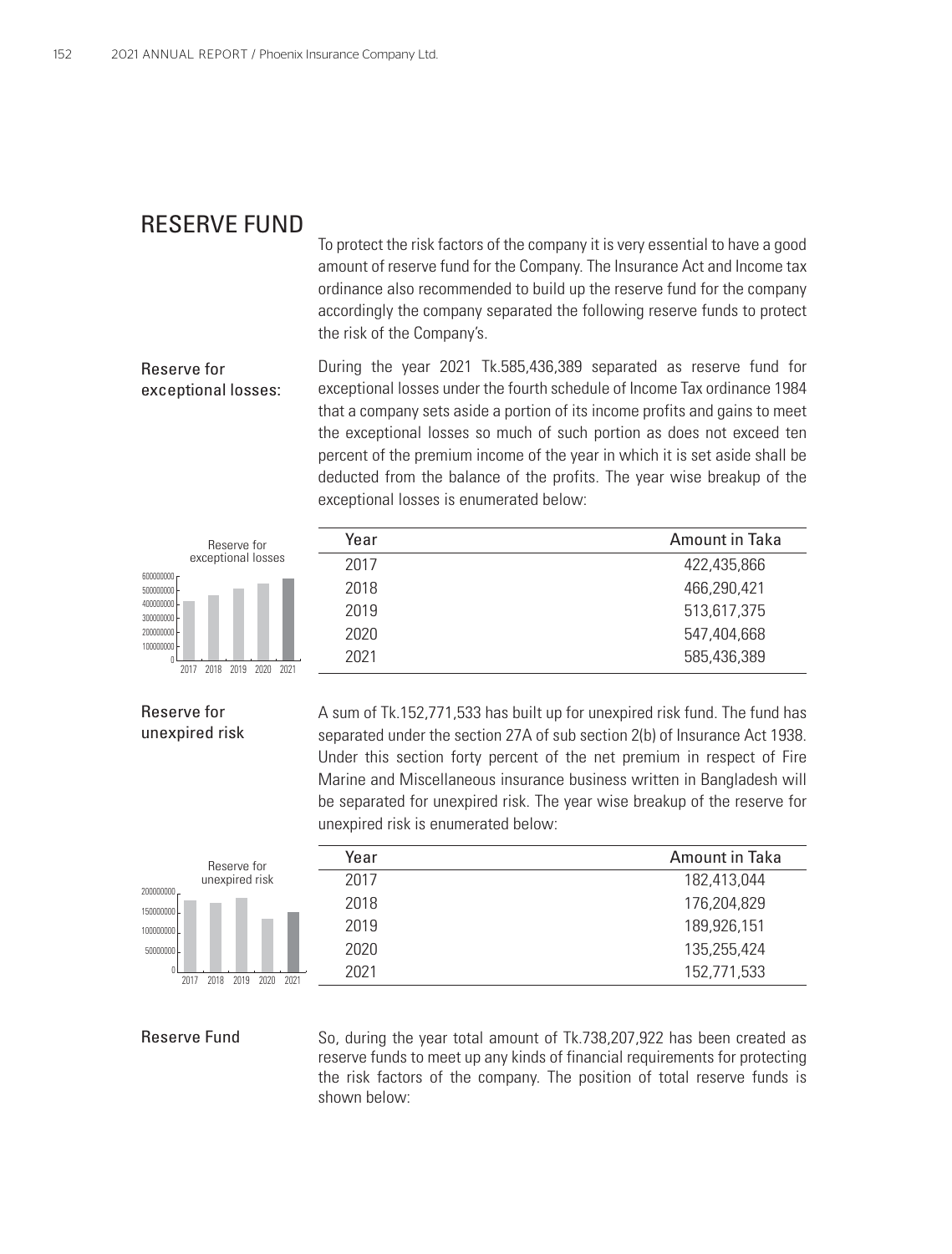### RESERVE FUND

To protect the risk factors of the company it is very essential to have a good amount of reserve fund for the Company. The Insurance Act and Income tax ordinance also recommended to build up the reserve fund for the company accordingly the company separated the following reserve funds to protect the risk of the Company's.

# During the year 2021 Tk.585,436,389 separated as reserve fund for Reserve for exceptional losses:

exceptional losses under the fourth schedule of Income Tax ordinance 1984 that a company sets aside a portion of its income profits and gains to meet the exceptional losses so much of such portion as does not exceed ten percent of the premium income of the year in which it is set aside shall be deducted from the balance of the profits. The year wise breakup of the exceptional losses is enumerated below:





#### Reserve for unexpired risk

A sum of Tk.152,771,533 has built up for unexpired risk fund. The fund has separated under the section 27A of sub section 2(b) of Insurance Act 1938. Under this section forty percent of the net premium in respect of Fire Marine and Miscellaneous insurance business written in Bangladesh will be separated for unexpired risk. The year wise breakup of the reserve for



| unexpired risk is enumerated below: | be separated for unexpired risk. The year wise breakup of the reserve for |
|-------------------------------------|---------------------------------------------------------------------------|
| Year                                | Amount in Taka                                                            |
| 2017                                | 182,413,044                                                               |
| 2018                                | 176,204,829                                                               |
| 2019                                | 189,926,151                                                               |
| 2020                                | 135,255,424                                                               |

2021 152,771,533

#### Reserve Fund

So, during the year total amount of Tk.738,207,922 has been created as reserve funds to meet up any kinds of financial requirements for protecting the risk factors of the company. The position of total reserve funds is shown below: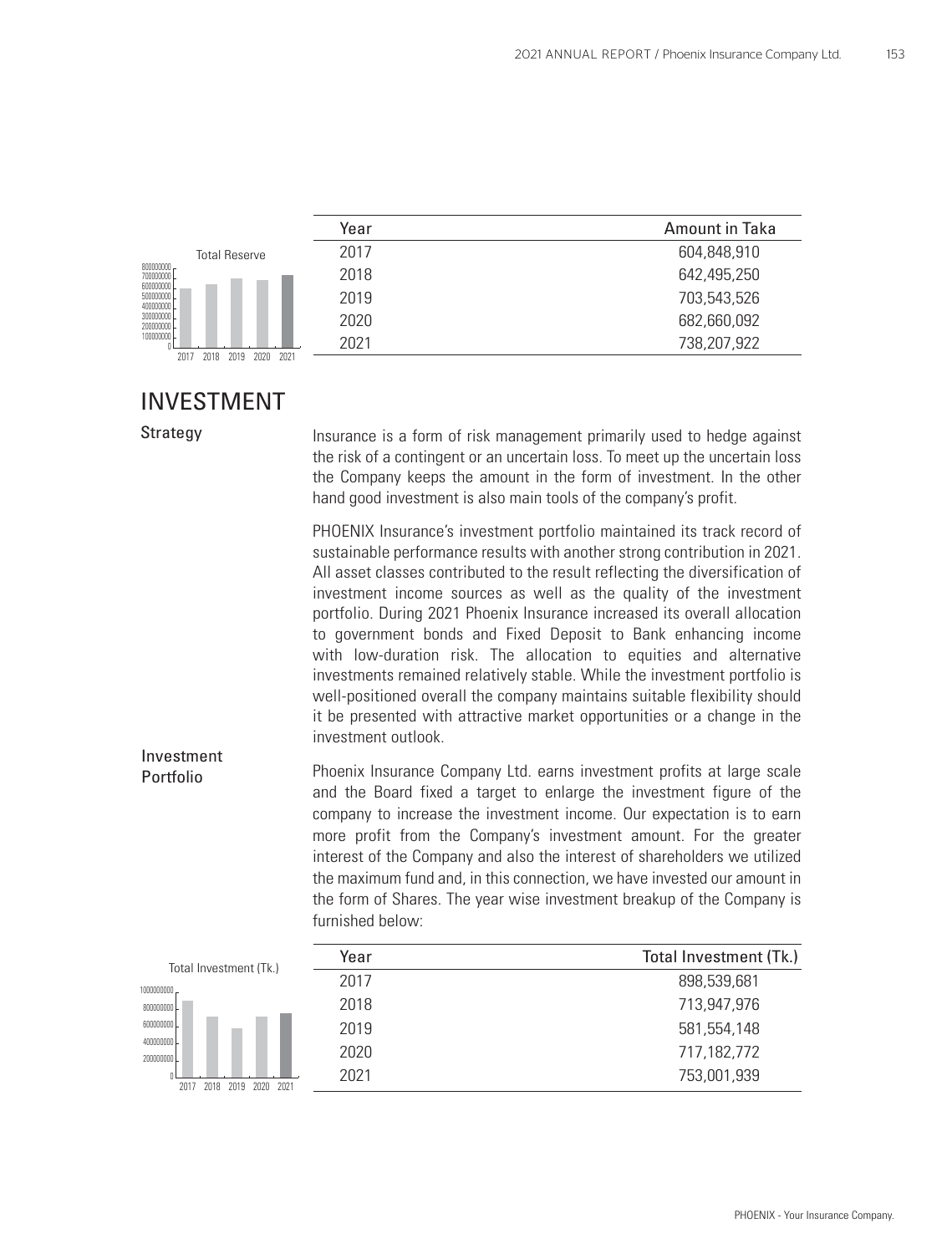|                                      | Year | Amount in Taka |
|--------------------------------------|------|----------------|
| <b>Total Reserve</b>                 | 2017 | 604,848,910    |
| 800000000<br>700000000               | 2018 | 642,495,250    |
| 600000000<br>50000000<br>40000000    | 2019 | 703,543,526    |
| 300000000<br>20000000                | 2020 | 682,660,092    |
| 10000000                             | 2021 | 738,207,922    |
| 2020<br>2021<br>2018<br>2019<br>2017 |      |                |

### INVESTMENT

Strategy

 Insurance is a form of risk management primarily used to hedge against the risk of a contingent or an uncertain loss. To meet up the uncertain loss the Company keeps the amount in the form of investment. In the other hand good investment is also main tools of the company's profit.

PHOENIX Insurance's investment portfolio maintained its track record of sustainable performance results with another strong contribution in 2021. All asset classes contributed to the result reflecting the diversification of investment income sources as well as the quality of the investment portfolio. During 2021 Phoenix Insurance increased its overall allocation to government bonds and Fixed Deposit to Bank enhancing income with low-duration risk. The allocation to equities and alternative investments remained relatively stable. While the investment portfolio is well-positioned overall the company maintains suitable flexibility should it be presented with attractive market opportunities or a change in the investment outlook.

Phoenix Insurance Company Ltd. earns investment profits at large scale and the Board fixed a target to enlarge the investment figure of the company to increase the investment income. Our expectation is to earn more profit from the Company's investment amount. For the greater interest of the Company and also the interest of shareholders we utilized the maximum fund and, in this connection, we have invested our amount in the form of Shares. The year wise investment breakup of the Company is furnished below: Investment Portfolio

| Total Investment (Tk.)               | Year | Total Investment (Tk.) |
|--------------------------------------|------|------------------------|
| 1000000000                           | 2017 | 898,539,681            |
| 800000000L                           | 2018 | 713,947,976            |
| 600000000                            | 2019 | 581, 554, 148          |
| 400000000L<br>200000000              | 2020 | 717,182,772            |
| 2021<br>2017<br>2018<br>2020<br>2019 | 2021 | 753,001,939            |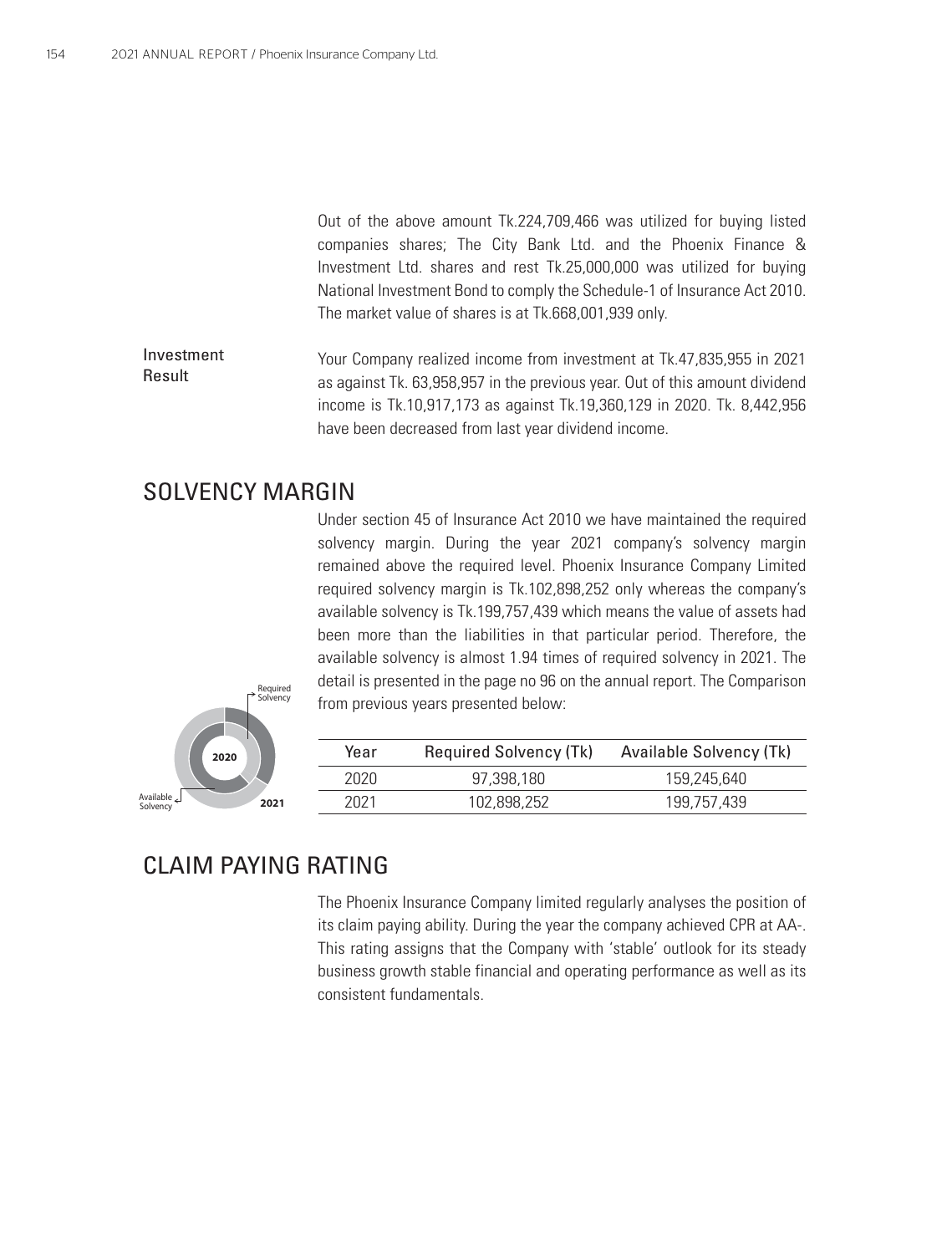Out of the above amount Tk.224,709,466 was utilized for buying listed companies shares; The City Bank Ltd. and the Phoenix Finance & Investment Ltd. shares and rest Tk.25,000,000 was utilized for buying National Investment Bond to comply the Schedule-1 of Insurance Act 2010. The market value of shares is at Tk.668,001,939 only.

Your Company realized income from investment at Tk.47,835,955 in 2021 as against Tk. 63,958,957 in the previous year. Out of this amount dividend income is Tk.10,917,173 as against Tk.19,360,129 in 2020. Tk. 8,442,956 have been decreased from last year dividend income. Investment Result

### SOLVENCY MARGIN

Under section 45 of Insurance Act 2010 we have maintained the required solvency margin. During the year 2021 company's solvency margin remained above the required level. Phoenix Insurance Company Limited required solvency margin is Tk.102,898,252 only whereas the company's available solvency is Tk.199,757,439 which means the value of assets had been more than the liabilities in that particular period. Therefore, the available solvency is almost 1.94 times of required solvency in 2021. The detail is presented in the page no 96 on the annual report. The Comparison from previous years presented below:



| Year | <b>Required Solvency (Tk)</b> | Available Solvency (Tk) |
|------|-------------------------------|-------------------------|
| 2020 | 97.398.180                    | 159.245.640             |
| 2021 | 102.898.252                   | 199.757.439             |

### CLAIM PAYING RATING

The Phoenix Insurance Company limited regularly analyses the position of its claim paying ability. During the year the company achieved CPR at AA-. This rating assigns that the Company with 'stable' outlook for its steady business growth stable financial and operating performance as well as its consistent fundamentals.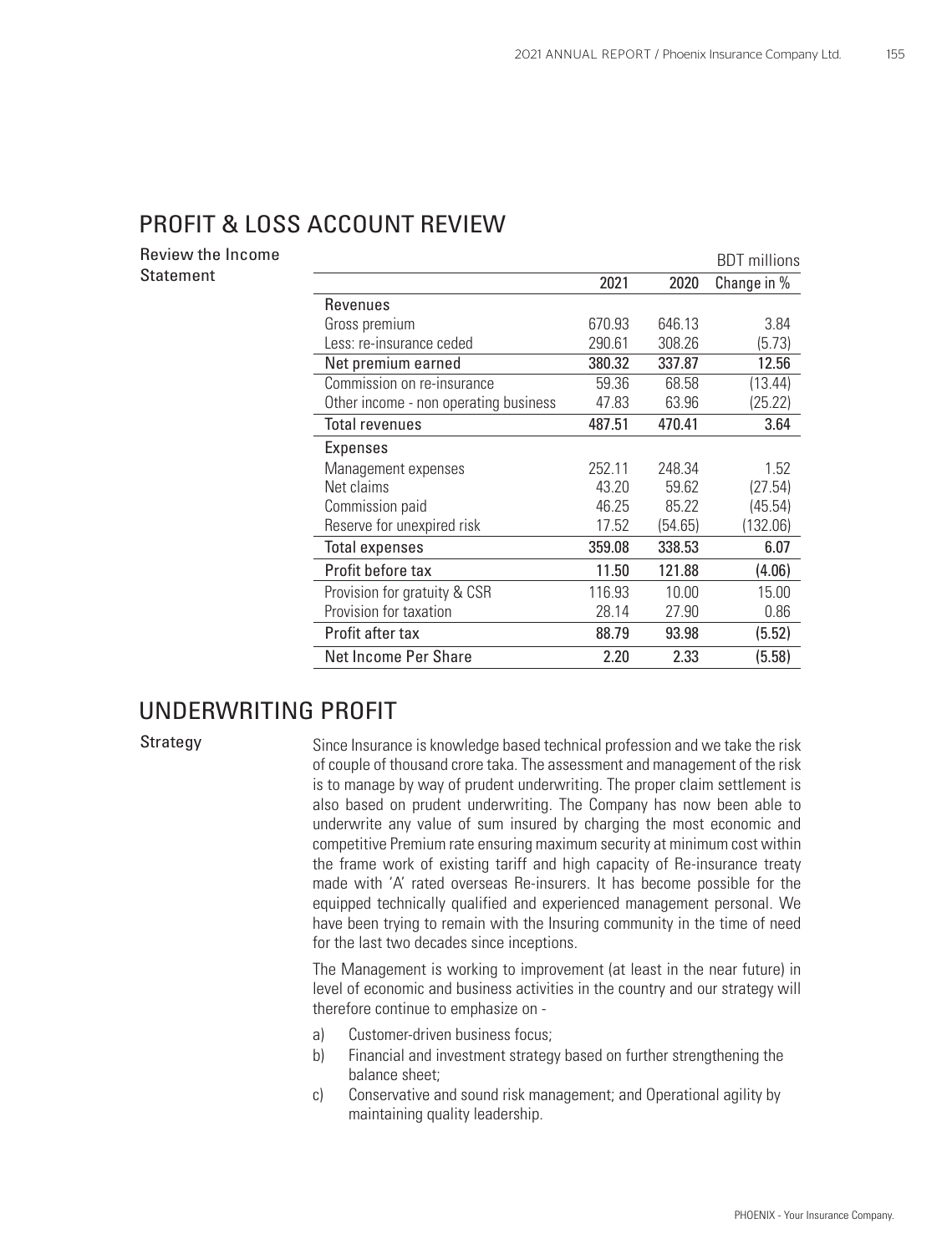### PROFIT & LOSS ACCOUNT REVIEW

Review the Income Statement

|                                       |        |         | <b>BDT</b> millions |
|---------------------------------------|--------|---------|---------------------|
|                                       | 2021   | 2020    | Change in %         |
| Revenues                              |        |         |                     |
| Gross premium                         | 670.93 | 646.13  | 3.84                |
| Less: re-insurance ceded              | 290.61 | 308.26  | (5.73)              |
| Net premium earned                    | 380.32 | 337.87  | 12.56               |
| Commission on re-insurance            | 59.36  | 68.58   | (13.44)             |
| Other income - non operating business | 47.83  | 63.96   | (25.22)             |
| <b>Total revenues</b>                 | 487.51 | 470.41  | 3.64                |
| Expenses                              |        |         |                     |
| Management expenses                   | 252.11 | 248.34  | 1.52                |
| Net claims                            | 43.20  | 59.62   | (27.54)             |
| Commission paid                       | 46.25  | 85.22   | (45.54)             |
| Reserve for unexpired risk            | 17.52  | (54.65) | (132.06)            |
| <b>Total expenses</b>                 | 359.08 | 338.53  | 6.07                |
| Profit before tax                     | 11.50  | 121.88  | (4.06)              |
| Provision for gratuity & CSR          | 116.93 | 10.00   | 15.00               |
| Provision for taxation                | 28.14  | 27.90   | 0.86                |
| Profit after tax                      | 88.79  | 93.98   | (5.52)              |
| Net Income Per Share                  | 2.20   | 2.33    | (5.58)              |

### UNDERWRITING PROFIT

Strategy

Since Insurance is knowledge based technical profession and we take the risk of couple of thousand crore taka. The assessment and management of the risk is to manage by way of prudent underwriting. The proper claim settlement is also based on prudent underwriting. The Company has now been able to underwrite any value of sum insured by charging the most economic and competitive Premium rate ensuring maximum security at minimum cost within the frame work of existing tariff and high capacity of Re-insurance treaty made with 'A' rated overseas Re-insurers. It has become possible for the equipped technically qualified and experienced management personal. We have been trying to remain with the Insuring community in the time of need for the last two decades since inceptions.

The Management is working to improvement (at least in the near future) in level of economic and business activities in the country and our strategy will therefore continue to emphasize on -

- a) Customer-driven business focus;
- b) Financial and investment strategy based on further strengthening the balance sheet;
- c) Conservative and sound risk management; and Operational agility by maintaining quality leadership.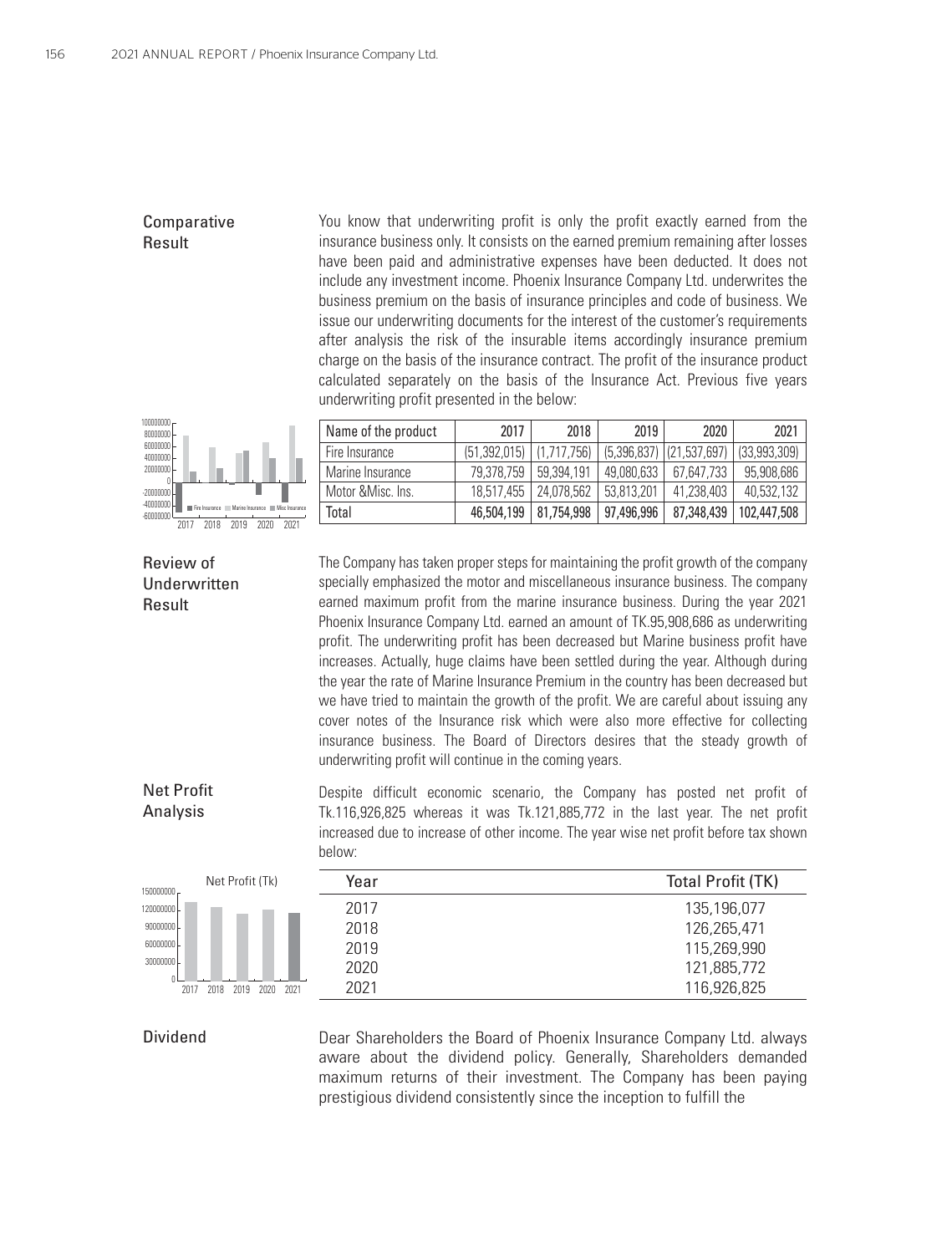#### Comparative Result

You know that underwriting profit is only the profit exactly earned from the insurance business only. It consists on the earned premium remaining after losses have been paid and administrative expenses have been deducted. It does not include any investment income. Phoenix Insurance Company Ltd. underwrites the business premium on the basis of insurance principles and code of business. We issue our underwriting documents for the interest of the customer's requirements after analysis the risk of the insurable items accordingly insurance premium charge on the basis of the insurance contract. The profit of the insurance product calculated separately on the basis of the Insurance Act. Previous five years underwriting profit presented in the below:



| Name of the product | 2017                         | 2018                    | 2019       | 2020                         | 2021         |
|---------------------|------------------------------|-------------------------|------------|------------------------------|--------------|
| l Fire Insurance    | $(51,392,015)$ $(1,717,756)$ |                         |            | $(5,396,837)$ $(21,537,697)$ | (33,993,309) |
| l Marine Insurance  | 79.378.759                   | 59.394.191              | 49.080.633 | 67.647.733                   | 95,908,686   |
| l Motor &Misc. Ins. |                              | 18.517.455   24.078.562 | 53.813.201 | 41.238.403                   | 40.532.132   |
| Total               |                              | 46,504,199   81,754,998 | 97,496,996 | 87,348,439                   | 102,447,508  |

Review of Underwritten Result

The Company has taken proper steps for maintaining the profit growth of the company specially emphasized the motor and miscellaneous insurance business. The company earned maximum profit from the marine insurance business. During the year 2021 Phoenix Insurance Company Ltd. earned an amount of TK.95,908,686 as underwriting profit. The underwriting profit has been decreased but Marine business profit have increases. Actually, huge claims have been settled during the year. Although during the year the rate of Marine Insurance Premium in the country has been decreased but we have tried to maintain the growth of the profit. We are careful about issuing any cover notes of the Insurance risk which were also more effective for collecting insurance business. The Board of Directors desires that the steady growth of underwriting profit will continue in the coming years.

Net Profit Analysis

Despite difficult economic scenario, the Company has posted net profit of Tk.116,926,825 whereas it was Tk.121,885,772 in the last year. The net profit increased due to increase of other income. The year wise net profit before tax shown below:



| Year | <b>Total Profit (TK)</b> |
|------|--------------------------|
| 2017 | 135,196,077              |
| 2018 | 126,265,471              |
| 2019 | 115,269,990              |
| 2020 | 121,885,772              |
| 2021 | 116,926,825              |
|      |                          |

#### Dividend

Dear Shareholders the Board of Phoenix Insurance Company Ltd. always aware about the dividend policy. Generally, Shareholders demanded maximum returns of their investment. The Company has been paying prestigious dividend consistently since the inception to fulfill the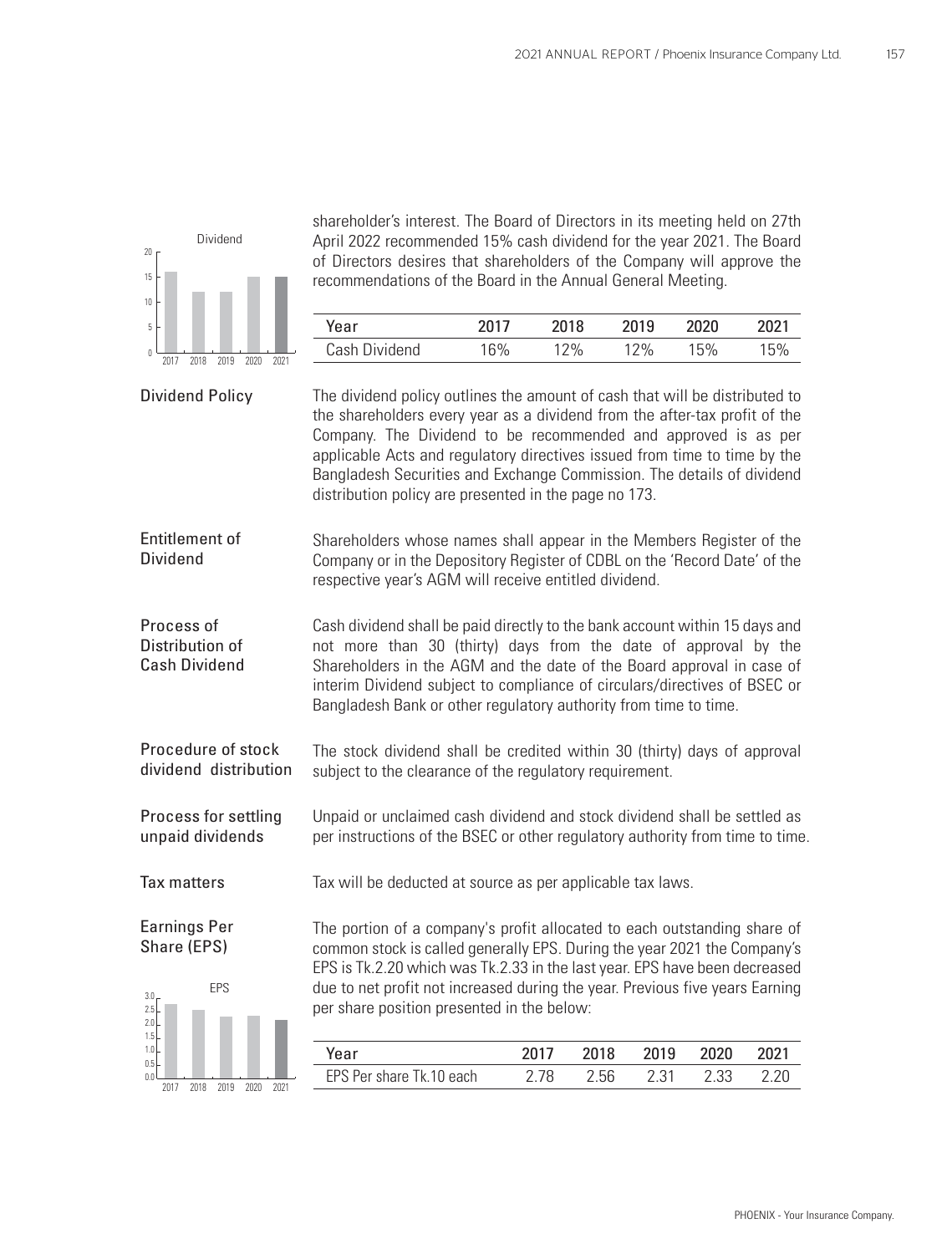

shareholder's interest. The Board of Directors in its meeting held on 27th April 2022 recommended 15% cash dividend for the year 2021. The Board of Directors desires that shareholders of the Company will approve the recommendations of the Board in the Annual General Meeting.

| Year          | 2017 | 2018 | 2019   | 2020 | 2021 |
|---------------|------|------|--------|------|------|
| Cash Dividend | 16%  | ?%   | $12\%$ | 15%  | '5%  |

| <b>Dividend Policy</b>                                | The dividend policy outlines the amount of cash that will be distributed to<br>the shareholders every year as a dividend from the after-tax profit of the<br>Company. The Dividend to be recommended and approved is as per<br>applicable Acts and regulatory directives issued from time to time by the<br>Bangladesh Securities and Exchange Commission. The details of dividend<br>distribution policy are presented in the page no 173. |      |      |      |      |      |
|-------------------------------------------------------|---------------------------------------------------------------------------------------------------------------------------------------------------------------------------------------------------------------------------------------------------------------------------------------------------------------------------------------------------------------------------------------------------------------------------------------------|------|------|------|------|------|
| <b>Entitlement of</b><br><b>Dividend</b>              | Shareholders whose names shall appear in the Members Register of the<br>Company or in the Depository Register of CDBL on the 'Record Date' of the<br>respective year's AGM will receive entitled dividend.                                                                                                                                                                                                                                  |      |      |      |      |      |
| Process of<br>Distribution of<br><b>Cash Dividend</b> | Cash dividend shall be paid directly to the bank account within 15 days and<br>not more than 30 (thirty) days from the date of approval by the<br>Shareholders in the AGM and the date of the Board approval in case of<br>interim Dividend subject to compliance of circulars/directives of BSEC or<br>Bangladesh Bank or other regulatory authority from time to time.                                                                    |      |      |      |      |      |
| Procedure of stock<br>dividend distribution           | The stock dividend shall be credited within 30 (thirty) days of approval<br>subject to the clearance of the regulatory requirement.                                                                                                                                                                                                                                                                                                         |      |      |      |      |      |
| Process for settling<br>unpaid dividends              | Unpaid or unclaimed cash dividend and stock dividend shall be settled as<br>per instructions of the BSEC or other regulatory authority from time to time.                                                                                                                                                                                                                                                                                   |      |      |      |      |      |
| <b>Tax matters</b>                                    | Tax will be deducted at source as per applicable tax laws.                                                                                                                                                                                                                                                                                                                                                                                  |      |      |      |      |      |
| <b>Earnings Per</b><br>Share (EPS)                    | The portion of a company's profit allocated to each outstanding share of<br>common stock is called generally EPS. During the year 2021 the Company's<br>EPS is Tk.2.20 which was Tk.2.33 in the last year. EPS have been decreased                                                                                                                                                                                                          |      |      |      |      |      |
| EPS<br>3.0 <sub>1</sub><br>2.5                        | due to net profit not increased during the year. Previous five years Earning<br>per share position presented in the below:                                                                                                                                                                                                                                                                                                                  |      |      |      |      |      |
| 2.0<br>1.5                                            |                                                                                                                                                                                                                                                                                                                                                                                                                                             |      |      |      |      |      |
| 1.0<br>0.5                                            | Year                                                                                                                                                                                                                                                                                                                                                                                                                                        | 2017 | 2018 | 2019 | 2020 | 2021 |
| 0.0<br>2018<br>2019<br>2021<br>2017<br>2020           | EPS Per share Tk.10 each                                                                                                                                                                                                                                                                                                                                                                                                                    | 2.78 | 2.56 | 2.31 | 2.33 | 2.20 |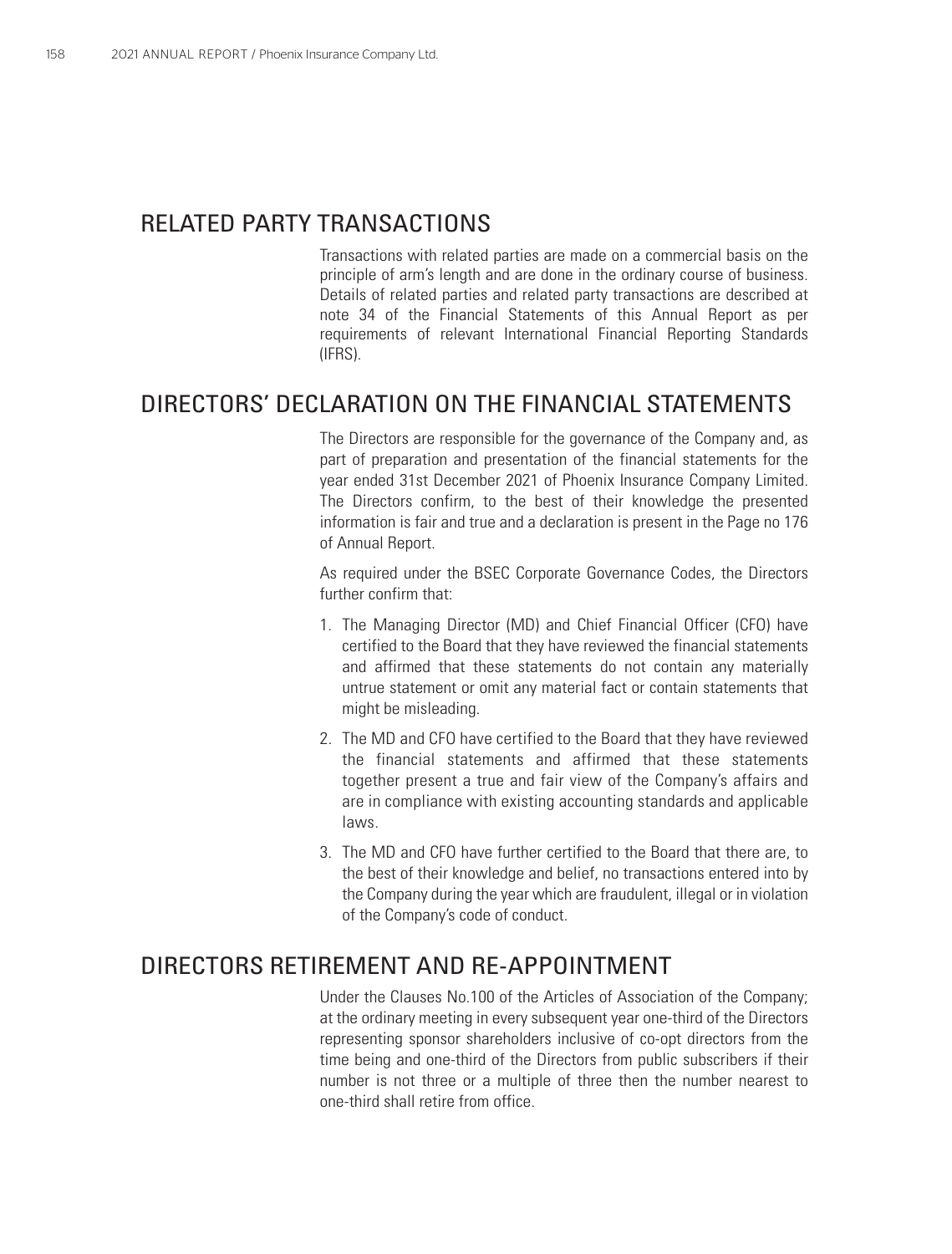### RELATED PARTY TRANSACTIONS

Transactions with related parties are made on a commercial basis on the principle of arm's length and are done in the ordinary course of business. Details of related parties and related party transactions are described at note 34 of the Financial Statements of this Annual Report as per requirements of relevant International Financial Reporting Standards (IFRS).

### DIRECTORS' DECLARATION ON THE FINANCIAL STATEMENTS

The Directors are responsible for the governance of the Company and, as part of preparation and presentation of the financial statements for the year ended 31st December 2021 of Phoenix Insurance Company Limited. The Directors confirm, to the best of their knowledge the presented information is fair and true and a declaration is present in the Page no 176 of Annual Report.

As required under the BSEC Corporate Governance Codes, the Directors further confirm that:

- 1. The Managing Director (MD) and Chief Financial Officer (CFO) have certified to the Board that they have reviewed the financial statements and affirmed that these statements do not contain any materially untrue statement or omit any material fact or contain statements that might be misleading.
- 2. The MD and CFO have certified to the Board that they have reviewed the financial statements and affirmed that these statements together present a true and fair view of the Company's affairs and are in compliance with existing accounting standards and applicable laws.
- 3. The MD and CFO have further certified to the Board that there are, to the best of their knowledge and belief, no transactions entered into by the Company during the year which are fraudulent, illegal or in violation of the Company's code of conduct.

### DIRECTORS RETIREMENT AND RE-APPOINTMENT

Under the Clauses No.100 of the Articles of Association of the Company; at the ordinary meeting in every subsequent year one-third of the Directors representing sponsor shareholders inclusive of co-opt directors from the time being and one-third of the Directors from public subscribers if their number is not three or a multiple of three then the number nearest to one-third shall retire from office.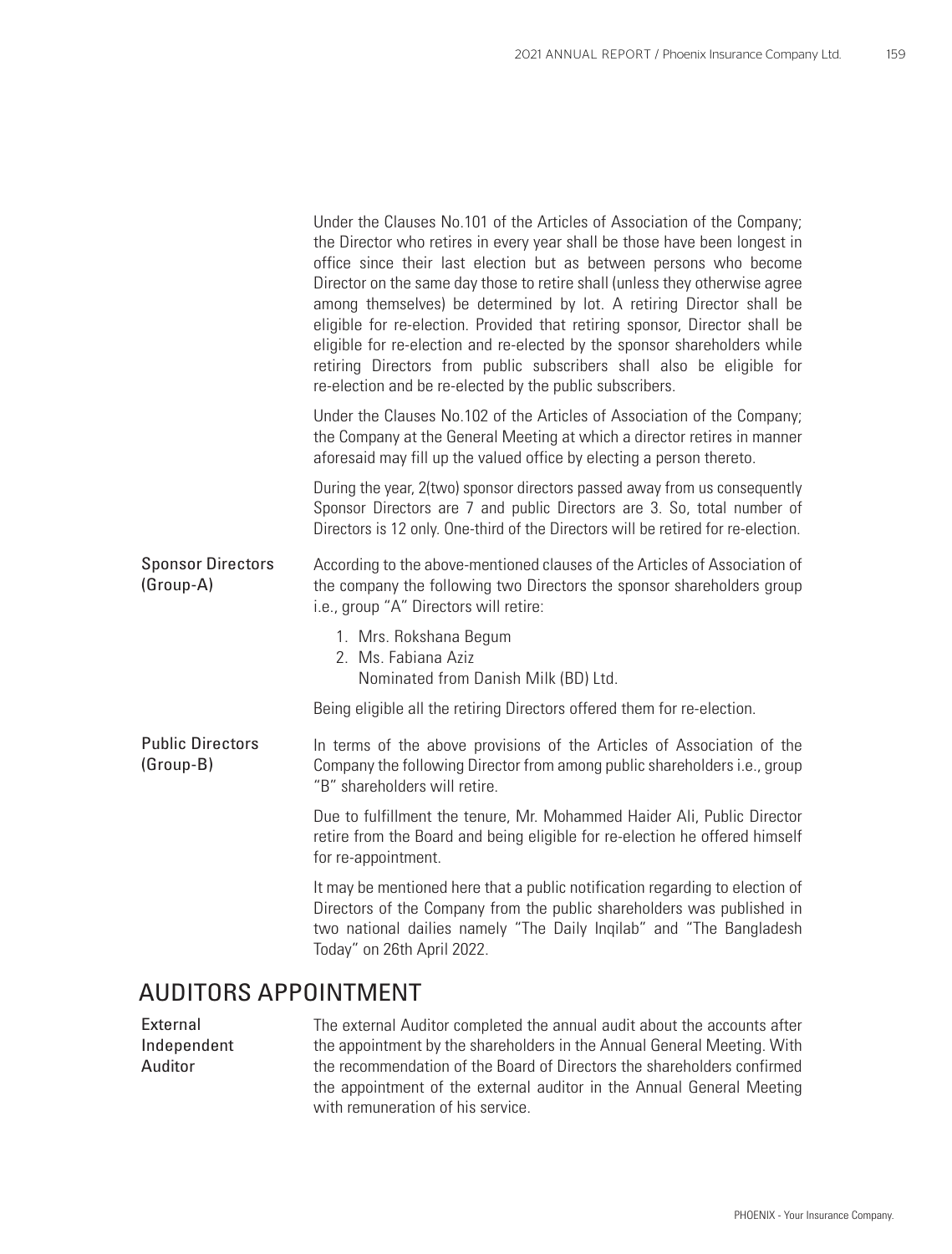|                                       | Under the Clauses No.101 of the Articles of Association of the Company;<br>the Director who retires in every year shall be those have been longest in<br>office since their last election but as between persons who become<br>Director on the same day those to retire shall (unless they otherwise agree<br>among themselves) be determined by lot. A retiring Director shall be<br>eligible for re-election. Provided that retiring sponsor, Director shall be<br>eligible for re-election and re-elected by the sponsor shareholders while<br>retiring Directors from public subscribers shall also be eligible for<br>re-election and be re-elected by the public subscribers. |  |  |  |
|---------------------------------------|-------------------------------------------------------------------------------------------------------------------------------------------------------------------------------------------------------------------------------------------------------------------------------------------------------------------------------------------------------------------------------------------------------------------------------------------------------------------------------------------------------------------------------------------------------------------------------------------------------------------------------------------------------------------------------------|--|--|--|
|                                       | Under the Clauses No.102 of the Articles of Association of the Company;<br>the Company at the General Meeting at which a director retires in manner<br>aforesaid may fill up the valued office by electing a person thereto.                                                                                                                                                                                                                                                                                                                                                                                                                                                        |  |  |  |
|                                       | During the year, 2(two) sponsor directors passed away from us consequently<br>Sponsor Directors are 7 and public Directors are 3. So, total number of<br>Directors is 12 only. One-third of the Directors will be retired for re-election.                                                                                                                                                                                                                                                                                                                                                                                                                                          |  |  |  |
| <b>Sponsor Directors</b><br>(Group-A) | According to the above-mentioned clauses of the Articles of Association of<br>the company the following two Directors the sponsor shareholders group<br>i.e., group "A" Directors will retire:                                                                                                                                                                                                                                                                                                                                                                                                                                                                                      |  |  |  |
|                                       | 1. Mrs. Rokshana Begum<br>2. Ms. Fabiana Aziz<br>Nominated from Danish Milk (BD) Ltd.                                                                                                                                                                                                                                                                                                                                                                                                                                                                                                                                                                                               |  |  |  |
|                                       | Being eligible all the retiring Directors offered them for re-election.                                                                                                                                                                                                                                                                                                                                                                                                                                                                                                                                                                                                             |  |  |  |
| <b>Public Directors</b><br>(Group-B)  | In terms of the above provisions of the Articles of Association of the<br>Company the following Director from among public shareholders i.e., group<br>"B" shareholders will retire.                                                                                                                                                                                                                                                                                                                                                                                                                                                                                                |  |  |  |
|                                       | Due to fulfillment the tenure, Mr. Mohammed Haider Ali, Public Director<br>retire from the Board and being eligible for re-election he offered himself<br>for re-appointment.                                                                                                                                                                                                                                                                                                                                                                                                                                                                                                       |  |  |  |
|                                       | It may be mentioned here that a public notification regarding to election of<br>Directors of the Company from the public shareholders was published in<br>two national dailies namely "The Daily Inqilab" and "The Bangladesh<br>Today" on 26th April 2022.                                                                                                                                                                                                                                                                                                                                                                                                                         |  |  |  |
| AUDITORS APPOINTMENT                  |                                                                                                                                                                                                                                                                                                                                                                                                                                                                                                                                                                                                                                                                                     |  |  |  |
|                                       |                                                                                                                                                                                                                                                                                                                                                                                                                                                                                                                                                                                                                                                                                     |  |  |  |

The external Auditor completed the annual audit about the accounts after the appointment by the shareholders in the Annual General Meeting. With the recommendation of the Board of Directors the shareholders confirmed the appointment of the external auditor in the Annual General Meeting with remuneration of his service. External Independent Auditor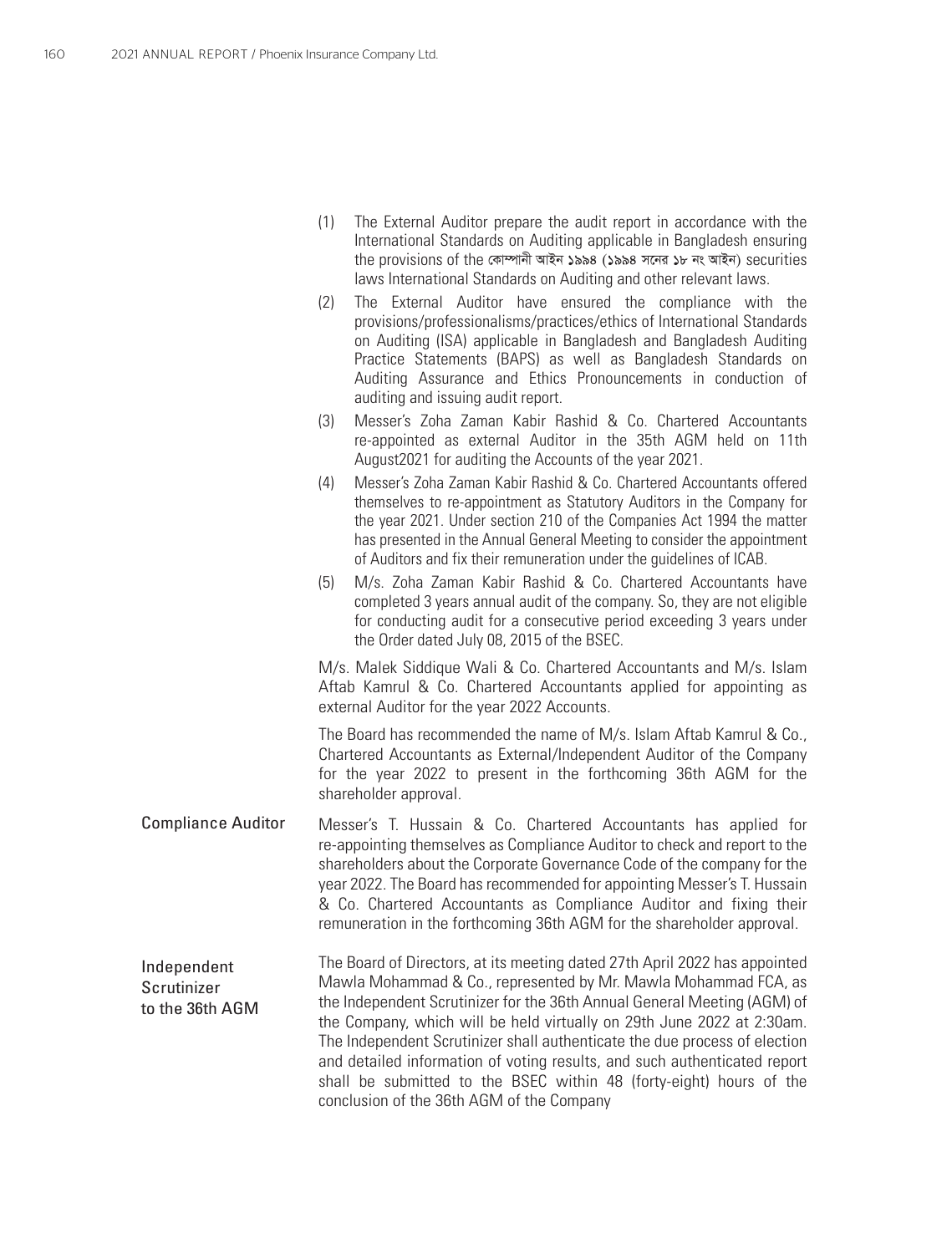|                                               | (1) | The External Auditor prepare the audit report in accordance with the<br>International Standards on Auditing applicable in Bangladesh ensuring<br>the provisions of the কোম্পানী আইন ১৯৯৪ (১৯৯৪ সনের ১৮ নং আইন) securities<br>laws International Standards on Auditing and other relevant laws.                                                                                                                                                     |
|-----------------------------------------------|-----|----------------------------------------------------------------------------------------------------------------------------------------------------------------------------------------------------------------------------------------------------------------------------------------------------------------------------------------------------------------------------------------------------------------------------------------------------|
|                                               | (2) | The External Auditor have ensured the compliance with the<br>provisions/professionalisms/practices/ethics of International Standards<br>on Auditing (ISA) applicable in Bangladesh and Bangladesh Auditing<br>Practice Statements (BAPS) as well as Bangladesh Standards on<br>Auditing Assurance and Ethics Pronouncements in conduction of<br>auditing and issuing audit report.                                                                 |
|                                               | (3) | Messer's Zoha Zaman Kabir Rashid & Co. Chartered Accountants<br>re-appointed as external Auditor in the 35th AGM held on 11th<br>August 2021 for auditing the Accounts of the year 2021.                                                                                                                                                                                                                                                           |
|                                               | (4) | Messer's Zoha Zaman Kabir Rashid & Co. Chartered Accountants offered<br>themselves to re-appointment as Statutory Auditors in the Company for<br>the year 2021. Under section 210 of the Companies Act 1994 the matter<br>has presented in the Annual General Meeting to consider the appointment<br>of Auditors and fix their remuneration under the guidelines of ICAB.                                                                          |
|                                               | (5) | M/s. Zoha Zaman Kabir Rashid & Co. Chartered Accountants have<br>completed 3 years annual audit of the company. So, they are not eligible<br>for conducting audit for a consecutive period exceeding 3 years under<br>the Order dated July 08, 2015 of the BSEC.                                                                                                                                                                                   |
|                                               |     | M/s. Malek Siddique Wali & Co. Chartered Accountants and M/s. Islam<br>Aftab Kamrul & Co. Chartered Accountants applied for appointing as<br>external Auditor for the year 2022 Accounts.                                                                                                                                                                                                                                                          |
|                                               |     | The Board has recommended the name of M/s. Islam Aftab Kamrul & Co.,<br>Chartered Accountants as External/Independent Auditor of the Company<br>for the year 2022 to present in the forthcoming 36th AGM for the<br>shareholder approval.                                                                                                                                                                                                          |
| <b>Compliance Auditor</b>                     |     | Messer's T. Hussain & Co. Chartered Accountants has applied for<br>re-appointing themselves as Compliance Auditor to check and report to the<br>shareholders about the Corporate Governance Code of the company for the<br>year 2022. The Board has recommended for appointing Messer's T. Hussain<br>& Co. Chartered Accountants as Compliance Auditor and fixing their<br>remuneration in the forthcoming 36th AGM for the shareholder approval. |
| Independent<br>Scrutinizer<br>to the 36th AGM |     | The Board of Directors, at its meeting dated 27th April 2022 has appointed<br>Mawla Mohammad & Co., represented by Mr. Mawla Mohammad FCA, as<br>the Independent Scrutinizer for the 36th Annual General Meeting (AGM) of<br>the Company, which will be held virtually on 29th June 2022 at 2:30am.<br>The Independent Scrutinizer shall authenticate the due process of election                                                                  |

and detailed information of voting results, and such authenticated report shall be submitted to the BSEC within 48 (forty-eight) hours of the

conclusion of the 36th AGM of the Company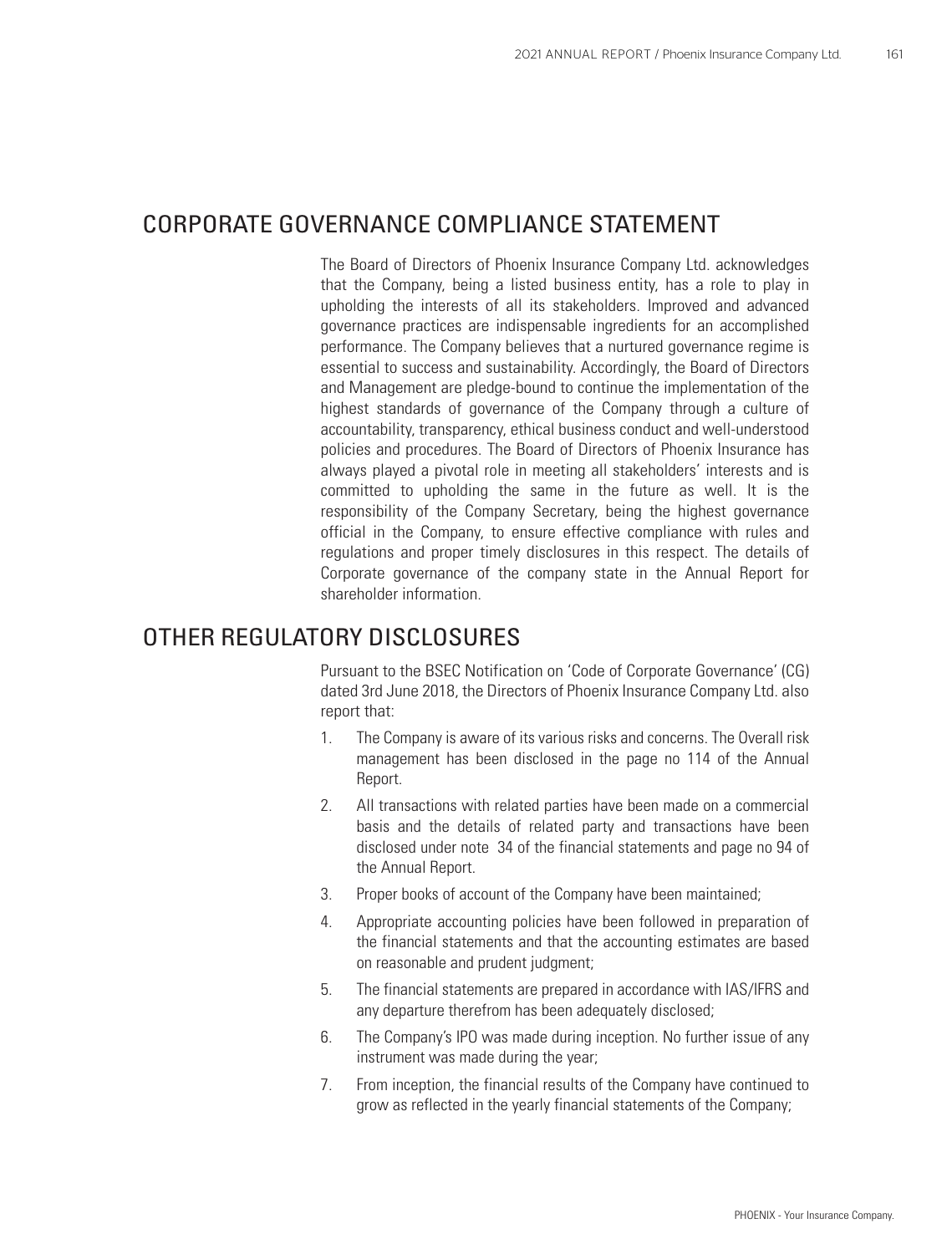### CORPORATE GOVERNANCE COMPLIANCE STATEMENT

The Board of Directors of Phoenix Insurance Company Ltd. acknowledges that the Company, being a listed business entity, has a role to play in upholding the interests of all its stakeholders. Improved and advanced governance practices are indispensable ingredients for an accomplished performance. The Company believes that a nurtured governance regime is essential to success and sustainability. Accordingly, the Board of Directors and Management are pledge-bound to continue the implementation of the highest standards of governance of the Company through a culture of accountability, transparency, ethical business conduct and well-understood policies and procedures. The Board of Directors of Phoenix Insurance has always played a pivotal role in meeting all stakeholders' interests and is committed to upholding the same in the future as well. It is the responsibility of the Company Secretary, being the highest governance official in the Company, to ensure effective compliance with rules and regulations and proper timely disclosures in this respect. The details of Corporate governance of the company state in the Annual Report for shareholder information.

### OTHER REGULATORY DISCLOSURES

Pursuant to the BSEC Notification on 'Code of Corporate Governance' (CG) dated 3rd June 2018, the Directors of Phoenix Insurance Company Ltd. also report that:

- 1. The Company is aware of its various risks and concerns. The Overall risk management has been disclosed in the page no 114 of the Annual Report.
- 2. All transactions with related parties have been made on a commercial basis and the details of related party and transactions have been disclosed under note 34 of the financial statements and page no 94 of the Annual Report.
- 3. Proper books of account of the Company have been maintained;
- 4. Appropriate accounting policies have been followed in preparation of the financial statements and that the accounting estimates are based on reasonable and prudent judgment;
- 5. The financial statements are prepared in accordance with IAS/IFRS and any departure therefrom has been adequately disclosed;
- 6. The Company's IPO was made during inception. No further issue of any instrument was made during the year;
- 7. From inception, the financial results of the Company have continued to grow as reflected in the yearly financial statements of the Company;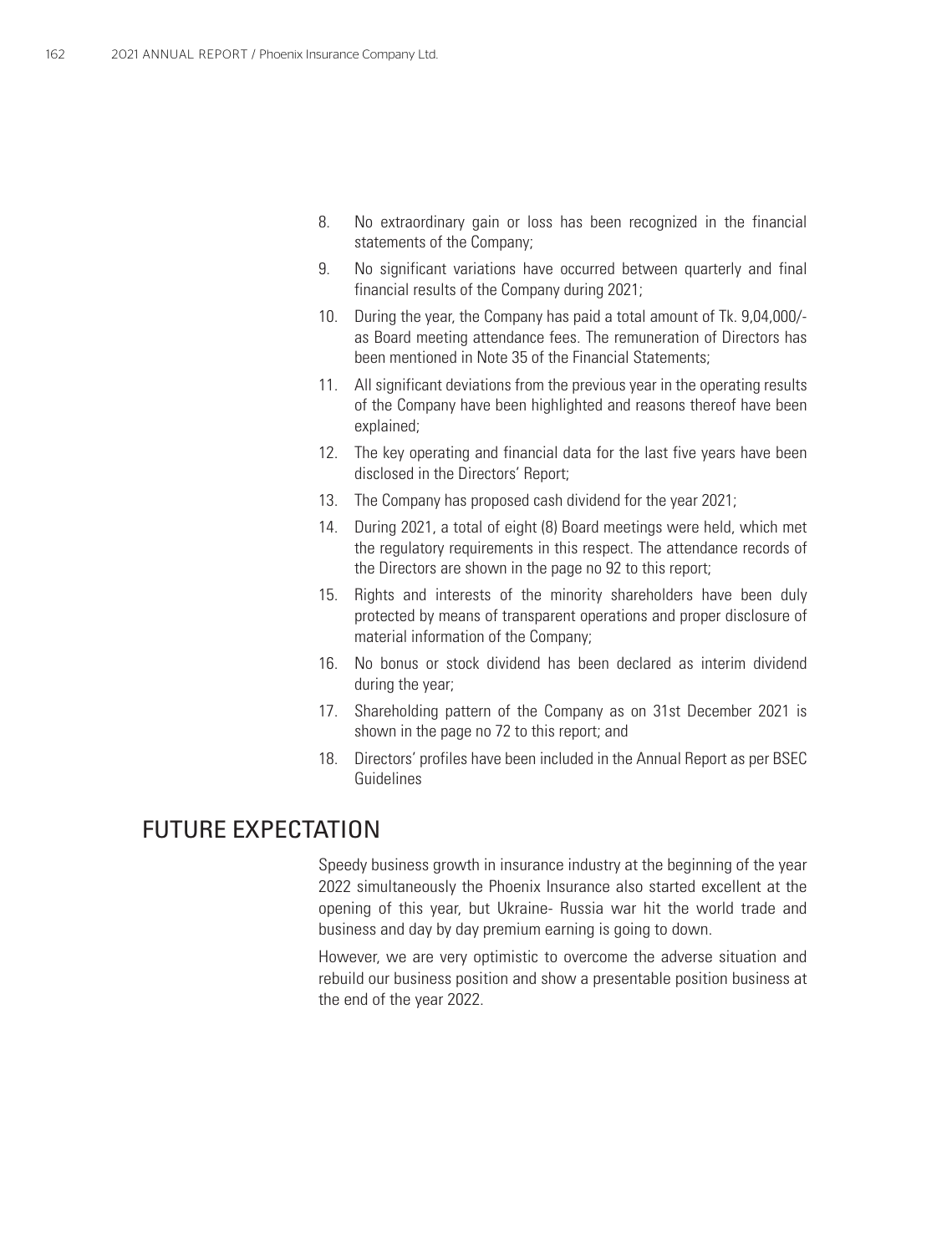- 8. No extraordinary gain or loss has been recognized in the financial statements of the Company;
- 9. No significant variations have occurred between quarterly and final financial results of the Company during 2021;
- 10. During the year, the Company has paid a total amount of Tk. 9,04,000/ as Board meeting attendance fees. The remuneration of Directors has been mentioned in Note 35 of the Financial Statements;
- 11. All significant deviations from the previous year in the operating results of the Company have been highlighted and reasons thereof have been explained;
- 12. The key operating and financial data for the last five years have been disclosed in the Directors' Report;
- 13. The Company has proposed cash dividend for the year 2021;
- 14. During 2021, a total of eight (8) Board meetings were held, which met the regulatory requirements in this respect. The attendance records of the Directors are shown in the page no 92 to this report;
- 15. Rights and interests of the minority shareholders have been duly protected by means of transparent operations and proper disclosure of material information of the Company;
- 16. No bonus or stock dividend has been declared as interim dividend during the year;
- 17. Shareholding pattern of the Company as on 31st December 2021 is shown in the page no 72 to this report; and
- 18. Directors' profiles have been included in the Annual Report as per BSEC Guidelines

### FUTURE EXPECTATION

Speedy business growth in insurance industry at the beginning of the year 2022 simultaneously the Phoenix Insurance also started excellent at the opening of this year, but Ukraine- Russia war hit the world trade and business and day by day premium earning is going to down.

However, we are very optimistic to overcome the adverse situation and rebuild our business position and show a presentable position business at the end of the year 2022.